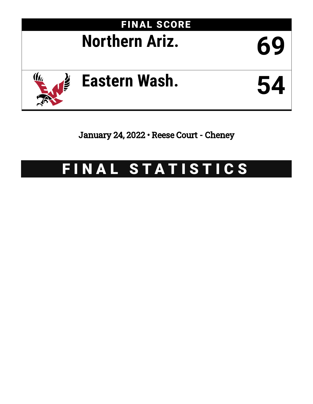

January 24, 2022 • Reese Court - Cheney

# FINAL STATISTICS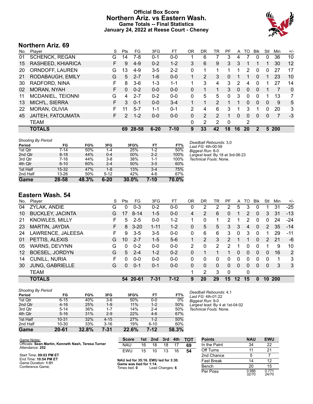## **Official Box Score Northern Ariz. vs Eastern Wash. Game Totals -- Final Statistics January 24, 2022 at Reese Court - Cheney**



## **Northern Ariz. 69**

| Plaver                | S  | Pts           | FG      | 3FG      | FT.      | OR | <b>DR</b> | TR             | PF          | A        | TO       | <b>BIK</b>    | Stl | Min | $+/-$ |
|-----------------------|----|---------------|---------|----------|----------|----|-----------|----------------|-------------|----------|----------|---------------|-----|-----|-------|
| <b>SCHENCK, REGAN</b> | G  | 14            | 7-8     | $0 - 1$  | $0-0$    |    | 6         |                | 3           | 4        |          | 0             | 0   | 36  | 10    |
| RASHEED, KHIARICA     | F. | 9             | $4-9$   | $0 - 2$  | $1 - 2$  | 3  | 6         | 9              | 3           | 3        |          |               |     | 30  | 12    |
| ORNDOFF, LAUREN       | G  | 13            | $4 - 9$ | $3 - 5$  | $2 - 2$  | 0  | 1         | 1              | 1           | 1        | 2        | 0             | 0   | 27  | 17    |
| RODABAUGH, EMILY      | G  | 5             | $2 - 7$ | $1 - 6$  | $0 - 0$  |    | 2         | 3              | 0           |          | 1.       | $\Omega$      |     | 23  | 10    |
| RADFORD, NINA         | F  | 8             | $3-6$   | 1-3      | $1 - 1$  |    | 3         | 4              | 3           | 2        | 4        | $\Omega$      |     | 27  | 14    |
| <b>MORAN, NYAH</b>    | F. | $\Omega$      | $0 - 2$ | $0 - 0$  | $0 - 0$  | 0  |           |                | 3           | $\Omega$ | $\Omega$ | $\Omega$      |     |     | 0     |
| MCDANIEL, TEIONNI     | G  | 4             | $2 - 7$ | $0 - 2$  | $0 - 0$  | 0  | 5         | 5              | 0           | 3        | 0        | $\Omega$      |     | 13  | 7     |
| MICH'L, SIERRA        | F. | 3             | $0 - 1$ | $0 - 0$  | $3 - 4$  |    | 1         | $\overline{2}$ |             |          | 0        | $\mathbf{0}$  | 0   | 9   | 5     |
| MORAN, OLIVIA         | F  | 11            | $5 - 7$ | $1 - 1$  | $0 - 1$  | 2  | 4         | 6              | 3           |          | 3        |               | 0   | 20  | 3     |
| JAITEH, FATOUMATA     | F. | $\mathcal{P}$ | $1 - 2$ | $0 - 0$  | $0 - 0$  | 0  | 2         | $\overline{2}$ | 1           | 0        | $\Omega$ | $\Omega$      | 0   | 7   | $-3$  |
| <b>TEAM</b>           |    |               |         |          |          | 0  | 2         | $\overline{2}$ | $\mathbf 0$ |          | 2        |               |     |     |       |
| <b>TOTALS</b>         |    | 69            |         | $6 - 20$ | $7 - 10$ | 9  | 33        | 42             | 18          | 16       | 20       | $\mathcal{P}$ |     |     |       |
|                       |    |               |         | 28-58    |          |    |           |                |             |          |          |               |     |     | 5 200 |

| <b>Shooting By Period</b> |           |       |          |       |         |       |
|---------------------------|-----------|-------|----------|-------|---------|-------|
| Period                    | FG        | FG%   | 3FG      | 3FG%  | FT      | FT%   |
| 1st Qtr                   | $7-14$    | 50%   | $1 - 4$  | 25%   | $1 - 2$ | 50%   |
| 2nd Qtr                   | $8 - 18$  | 44%   | $0 - 4$  | 00%   | $2 - 2$ | 100%  |
| 3rd Qtr                   | $7-16$    | 44%   | $3 - 8$  | 38%   | 1-1     | 100%  |
| 4th Qtr                   | $6 - 10$  | 60%   | $2 - 4$  | 50%   | $3-5$   | 60%   |
| 1st Half                  | $15 - 32$ | 47%   | $1 - 8$  | 13%   | $3 - 4$ | 75%   |
| 2nd Half                  | 13-26     | 50%   | $5 - 12$ | 42%   | $4-6$   | 67%   |
| Game                      | 28-58     | 48.3% | $6 - 20$ | 30.0% | 7-10    | 70.0% |

*Deadball Rebounds:* 3,0 *Last FG:* 4th-00:59 *Biggest Run:* 8-0 *Largest lead:* By 18 at 3rd-06:23 *Technical Fouls:* None.

## **Eastern Wash. 54**

| No. | Plaver                  | S  | Pts | FG.      | 3FG      | FT      | 0 <sub>R</sub> | DR       | TR       | PF            | A  | TO             | <b>B</b> lk  | Stl      | Min | $+/-$ |
|-----|-------------------------|----|-----|----------|----------|---------|----------------|----------|----------|---------------|----|----------------|--------------|----------|-----|-------|
| 04  | ZYLAK, ANDIE            | G  | 0   | $0 - 3$  | $0 - 2$  | $0 - 0$ | 0              | 2        | 2        | 2             | 5  | 3              | 0            |          | 31  | $-25$ |
| 10  | <b>BUCKLEY, JACINTA</b> | G  | 17  | $8 - 14$ | $1 - 5$  | $0 - 0$ | 4              | 2        | 6        | $\Omega$      |    | $\overline{2}$ | $\mathbf{0}$ | 3        | 31  | $-13$ |
| 21  | <b>KNOWLES, MILLY</b>   | F  | 5.  | $2 - 5$  | $0 - 0$  | $1 - 2$ |                | $\Omega$ | 1        | 2             |    | 2              | 0            | 0        | 24  | $-24$ |
| 23  | MARTIN, JAYDIA          | F  |     | 8 3-20   | $1 - 11$ | $1 - 2$ | 0              | 5        | 5        | 3             | 3  | 4              | $\mathbf{0}$ | 2        | 35  | $-14$ |
| 24  | LAWRENCE, JALEESA       | F. | 9   | $3 - 5$  | $3 - 5$  | $0 - 0$ | $\Omega$       | 6        | 6        | 3             | 0  | 3              | 0            |          | 29  | -11   |
| 01  | PETTIS, ALEXIS          | G  | 10  | $2 - 7$  | $1 - 5$  | $5-6$   |                | 2        | 3        | $\mathcal{P}$ |    |                | $\Omega$     | 2        | 21  | -6    |
| 05  | WARNS, DEVYNN           | G  | 0   | $0 - 2$  | $0 - 0$  | $0 - 0$ | 2              | $\Omega$ | 2        | 2             |    | 0              | $\Omega$     | 1        | 9   | 10    |
| 12  | <b>BOESEL, JORDYN</b>   | G  | 5   | $2 - 4$  | $1 - 2$  | $0 - 2$ | 0              | 1        |          | 1             | 0  | 0              | $\Omega$     | $\Omega$ | 16  | 2     |
| 14  | <b>CUNILL, NURIA</b>    | F. | 0   | $0 - 0$  | $0 - 0$  | $0 - 0$ | 0              | 0        | 0        | $\Omega$      | 0  | 0              | 0            | 0        | 1   | 3     |
| 30  | <b>JUNG, GABRIELLE</b>  | G  | 0   | $0 - 1$  | $0 - 1$  | $0 - 0$ | $\Omega$       | $\Omega$ | $\Omega$ | $\Omega$      | 0  | 0              | $\Omega$     | $\Omega$ | 3   | 3     |
|     | <b>TEAM</b>             |    |     |          |          |         |                | 2        | 3        | $\Omega$      |    | 0              |              |          |     |       |
|     | <b>TOTALS</b>           |    | 54. | 20-61    | 7-31     | $7-12$  | 9              | 20       | 29       | 15            | 12 | 15             | 0            | 10       | 200 |       |

| <b>Shooting By Period</b> |           |       |          |       |          |       |
|---------------------------|-----------|-------|----------|-------|----------|-------|
| Period                    | FG        | FG%   | 3FG      | 3FG%  | FT       | FT%   |
| 1st Qtr                   | $6 - 15$  | 40%   | $3-6$    | 50%   | $0-0$    | $0\%$ |
| 2nd Qtr                   | $4 - 16$  | 25%   | $1 - 9$  | 11%   | $1 - 2$  | 50%   |
| 3rd Qtr                   | $5 - 14$  | 36%   | $1 - 7$  | 14%   | $2 - 4$  | 50%   |
| 4th Qtr                   | $5 - 16$  | 31%   | $2-9$    | 22%   | $4-6$    | 67%   |
| 1st Half                  | $10 - 31$ | 32%   | $4 - 15$ | 27%   | $1 - 2$  | 50%   |
| 2nd Half                  | 10-30     | 33%   | $3 - 16$ | 19%   | $6 - 10$ | 60%   |
| Game                      | 20-61     | 32.8% | 7-31     | 22.6% | 7-12     | 58.3% |

*Deadball Rebounds:* 4,1 *Last FG:* 4th-01:22 *Biggest Run:* 9-0 *Largest lead:* By 4 at 1st-04:02 *Technical Fouls:* None.

| Game Notes:                                                            | <b>Score</b>                             | 1st | 2nd | 3rd                   | 4th | TOT | <b>Points</b>     | <b>NAU</b> | <b>EWU</b> |
|------------------------------------------------------------------------|------------------------------------------|-----|-----|-----------------------|-----|-----|-------------------|------------|------------|
| Officials: Sean Martin, Kenneth Nash, Teresa Turner<br>Attendance: 252 | <b>NAU</b>                               | 16  | 18  | 18                    |     | 69  | In the Paint      | 34         | 22         |
|                                                                        | EWU                                      | 15  | 10  | 13                    | 16  | 54  | Off Turns         |            | 21         |
| Start Time: 09:03 PM ET                                                |                                          |     |     |                       |     |     | 2nd Chance        |            |            |
| End Time: 10:54 PM ET<br>Game Duration: 1:51                           | NAU led for 35:16. EWU led for 3:30.     |     |     |                       |     |     | <b>Fast Break</b> | 14         | 12         |
| Conference Game:                                                       | Game was tied for 1:14.<br>Times tied: 0 |     |     | <b>Pad Changes: 6</b> |     |     | Bench             | 20         | 15         |

**Game was tied for 1:14.** Times tied: **0** Lead Changes: **6**

| In the Paint      | 34             | 22             |
|-------------------|----------------|----------------|
| Off Turns         | 11             | 21             |
| 2nd Chance        | 5              |                |
| <b>Fast Break</b> | 14             | 12             |
| Bench             | 20             | 15             |
| Per Poss          | 0.986<br>32/70 | 0.771<br>24/70 |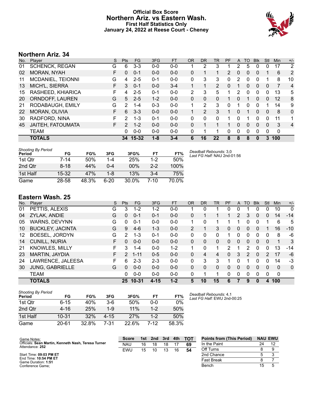## **Official Box Score Northern Ariz. vs Eastern Wash. First Half Statistics Only January 24, 2022 at Reese Court - Cheney**



# **Northern Ariz. 34**

| No. | Plaver                | S  | <b>Pts</b>    | <b>FG</b> | 3FG     | <b>FT</b> | <b>OR</b> | <b>DR</b> | TR             | PF       | A | TO       | <b>B</b> lk | Stl | <b>Min</b> | $+/-$          |
|-----|-----------------------|----|---------------|-----------|---------|-----------|-----------|-----------|----------------|----------|---|----------|-------------|-----|------------|----------------|
| 01  | <b>SCHENCK, REGAN</b> | G  | 6             | $3 - 3$   | $0 - 0$ | $0-0$     |           | 2         | 3              |          | 2 | 5        | 0           | 0   | 17         | 2              |
| 02  | <b>MORAN, NYAH</b>    | F  | $\Omega$      | $0 - 1$   | $0 - 0$ | $0 - 0$   | 0         |           |                | 2        | 0 | 0        | 0           |     | 6          | 2              |
| 11  | MCDANIEL, TEIONNI     | G  | 4             | $2 - 5$   | $0 - 1$ | $0 - 0$   | 0         | 3         | 3              | 0        | 2 | 0        | 0           | 1   | 8          | 10             |
| 13  | MICH'L, SIERRA        | F  | 3             | $0 - 1$   | $0 - 0$ | $3 - 4$   |           | 1         | $\overline{2}$ | $\Omega$ |   | 0        | 0           | 0   |            | 4              |
| 15  | RASHEED, KHIARICA     | F  | 4             | $2 - 5$   | $0 - 1$ | $0 - 0$   | 2         | 3         | 5              | 1        | 2 | 0        | 0           | 0   | 13         | 5              |
| 20  | ORNDOFF, LAUREN       | G  | 5             | $2 - 5$   | $1 - 2$ | $0 - 0$   | 0         | 0         | 0              | 1        | 0 |          | 0           | 0   | 12         | 8              |
| 21  | RODABAUGH, EMILY      | G  | 2             | $1 - 4$   | $0 - 3$ | $0 - 0$   | -1        | 2         | 3              | 0        |   | 0        | 0           | 1   | 14         | 9              |
| 22  | MORAN, OLIVIA         | F  | 6             | $3 - 3$   | $0 - 0$ | $0 - 0$   | 1         | 2         | 3              | 1        | 0 | 1        | 0           | 0   | 8          | 0              |
| 30  | RADFORD, NINA         | F  | 2             | $1 - 3$   | $0 - 1$ | $0 - 0$   | 0         | $\Omega$  | 0              | 1        | 0 |          | 0           | 0   | 11         | 1              |
| 45  | JAITEH, FATOUMATA     | F. | $\mathcal{P}$ | $1 - 2$   | $0 - 0$ | $0 - 0$   | 0         | 1         |                | 1        | 0 | $\Omega$ | $\Omega$    | 0   | 3          | $\overline{4}$ |
|     | <b>TEAM</b>           |    | 0             | $0 - 0$   | $0 - 0$ | $0 - 0$   | 0         |           |                | 0        | 0 | 0        | $\Omega$    | 0   | 0          |                |
|     | <b>TOTALS</b>         |    |               | 34 15-32  | $1 - 8$ | $3 - 4$   | 6         | 16        | 22             | 8        | 8 | 8        | 0           | 3   | 100        |                |

| <b>Shooting By Period</b><br>Period | FG       | FG%   | 3FG  | 3FG%   | FТ      | FT%   |
|-------------------------------------|----------|-------|------|--------|---------|-------|
| 1st Otr                             | 7-14     | 50%   | 1-4  | 25%    | $1 - 2$ | 50%   |
| 2nd Otr                             | $8 - 18$ | 44%   | 0-4  | $00\%$ | $2-2$   | 100%  |
| 1st Half                            | $15-32$  | 47%   | 1-8  | 13%    | 3-4     | 75%   |
| Game                                | 28-58    | 48.3% | 6-20 | 30.0%  | 7-10    | 70.0% |

*Deadball Rebounds:* 3,0 *Last FG Half:* NAU 2nd-01:56

## **Eastern Wash. 25**

| No. | Player                  | S  | <b>Pts</b>    | FG        | 3FG      | <b>FT</b> | <b>OR</b>      | <b>DR</b> | TR           | <b>PF</b>     | A | TO            | <b>B</b> lk | Stl      | Min          | $+/-$    |
|-----|-------------------------|----|---------------|-----------|----------|-----------|----------------|-----------|--------------|---------------|---|---------------|-------------|----------|--------------|----------|
| 01  | PETTIS, ALEXIS          | G  | 3             | $1 - 2$   | $1 - 2$  | $0 - 0$   |                | 0         |              | $\Omega$      | 0 |               | 0           | 0        | 10           | 0        |
| 04  | ZYLAK, ANDIE            | G  | 0             | $0 - 1$   | $0 - 1$  | $0 - 0$   | 0              |           |              |               | 2 | 3             | 0           | 0        | 14           | $-14$    |
| 05  | <b>WARNS, DEVYNN</b>    | G  | 0             | $0 - 1$   | $0 - 0$  | $0 - 0$   |                | 0         |              |               |   | 0             | 0           |          | 6            | 5        |
| 10  | <b>BUCKLEY, JACINTA</b> | G  | 9             | $4-6$     | $1 - 3$  | $0 - 0$   | $\overline{2}$ |           | 3            | 0             | 0 | 0             | 0           |          | 16           | $-10$    |
| 12  | BOESEL, JORDYN          | G  | 2             | $1 - 3$   | $0 - 1$  | $0 - 0$   | 0              | 0         | $\Omega$     |               | 0 | 0             | 0           | $\Omega$ | 8            | -6       |
| 14  | <b>CUNILL, NURIA</b>    | F  | 0             | $0 - 0$   | $0 - 0$  | $0 - 0$   | 0              | 0         | $\mathbf{0}$ | 0             | 0 | $\Omega$      | $\Omega$    | $\Omega$ | 1            | 3        |
| 21  | <b>KNOWLES, MILLY</b>   | F. | 3             | 1-4       | $0 - 0$  | $1 - 2$   | 1              | 0         | 1            | $\mathcal{P}$ |   | 2             | 0           | 0        | 13           | $-14$    |
| 23  | MARTIN, JAYDIA          | F. | $\mathcal{P}$ | $1 - 11$  | $0 - 5$  | $0 - 0$   | 0              | 4         | 4            | 0             | 3 | $\mathcal{P}$ | 0           | 2        | 17           | -6       |
| 24  | LAWRENCE, JALEESA       | F. | 6             | $2 - 3$   | $2 - 3$  | $0 - 0$   | $\Omega$       | 3         | 3            |               | 0 |               | 0           | 0        | 14           | $-3$     |
| 30  | JUNG, GABRIELLE         | G  | 0             | $0 - 0$   | $0 - 0$  | $0 - 0$   | 0              | 0         | $\Omega$     | $\Omega$      | 0 | 0             | 0           | $\Omega$ | $\mathbf{0}$ | $\Omega$ |
|     | <b>TEAM</b>             |    | 0             | $0 - 0$   | $0 - 0$  | $0 - 0$   | 0              |           | 1            | 0             | 0 | 0             | 0           | 0        | $\mathbf 0$  |          |
|     | <b>TOTALS</b>           |    | 25            | $10 - 31$ | $4 - 15$ | $1 - 2$   | 5              | 10        | 15           | 6             |   | 9             | 0           | 4        | 100          |          |

| Shooting By Period<br>Period | FG        | FG%   | 3FG      | 3FG%  | FТ      | FT%   |
|------------------------------|-----------|-------|----------|-------|---------|-------|
| 1st Qtr                      | $6 - 15$  | 40%   | $3-6$    | 50%   | 0-0     | 0%    |
| 2nd Qtr                      | $4 - 16$  | 25%   | $1 - 9$  | 11%   | $1 - 2$ | 50%   |
| 1st Half                     | $10 - 31$ | 32%   | $4 - 15$ | 27%   | $1 - 2$ | 50%   |
| Game                         | $20 - 61$ | 32.8% | 7-31     | 22.6% | 7-12    | 58.3% |

*Deadball Rebounds:* 4,1 *Last FG Half:* EWU 2nd-00:25

| Game Notes:                                                            | <b>Score</b> | 1st. | 2nd | 3rd | 4th | <b>TOT</b> | <b>Points from (This Period)</b> | <b>NAU EWU</b> |    |
|------------------------------------------------------------------------|--------------|------|-----|-----|-----|------------|----------------------------------|----------------|----|
| Officials: Sean Martin, Kenneth Nash, Teresa Turner<br>Attendance: 252 | <b>NAU</b>   | 16   | 18  | 18  |     | 69         | In the Paint                     | 24             | 12 |
|                                                                        | EWU          | 15   | 10  | 13  | 16  | 54         | Off Turns                        |                |    |
| Start Time: 09:03 PM ET                                                |              |      |     |     |     |            | 2nd Chance                       |                |    |
| End Time: 10:54 PM ET<br>Game Duration: 1:51                           |              |      |     |     |     |            | Fast Break                       |                |    |
| Conference Game;                                                       |              |      |     |     |     |            | Bench                            | 15             |    |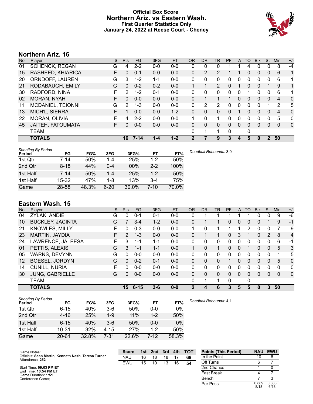## **Official Box Score Northern Ariz. vs Eastern Wash. First Quarter Statistics Only January 24, 2022 at Reese Court - Cheney**



# **Northern Ariz. 16**

| No. | Plaver                | S  | <b>Pts</b>   | FG       | 3FG     | <b>FT</b> | <b>OR</b>    | <b>DR</b> | TR             | <b>PF</b> | A        | TO       | <b>Blk</b> | Stl      | Min | $+/-$ |
|-----|-----------------------|----|--------------|----------|---------|-----------|--------------|-----------|----------------|-----------|----------|----------|------------|----------|-----|-------|
| 01  | <b>SCHENCK, REGAN</b> | G  | 4            | $2 - 2$  | $0-0$   | $0-0$     | 0            | 0         | 0              |           |          | 4        | 0          | 0        | 8   | $-4$  |
| 15  | RASHEED, KHIARICA     | F  | $\Omega$     | $0 - 1$  | $0 - 0$ | $0 - 0$   | $\Omega$     | 2         | $\overline{2}$ |           |          | 0        | 0          | 0        | 6   | 1     |
| 20  | ORNDOFF, LAUREN       | G  | 3            | $1 - 2$  | $1 - 1$ | $0 - 0$   | $\Omega$     | 0         | 0              | 0         | 0        | 0        | 0          | 0        | 6   | 1     |
| 21  | RODABAUGH, EMILY      | G  | $\mathbf{0}$ | $0 - 2$  | $0 - 2$ | $0 - 0$   |              |           | $\overline{2}$ | 0         |          | 0        | 0          |          | 9   | 1     |
| 30  | RADFORD, NINA         | F  | 2            | $1 - 2$  | $0 - 1$ | $0 - 0$   | $\mathbf{0}$ | 0         | 0              | 0         | $\Omega$ |          | 0          | 0        | 6   | 1     |
| 02  | <b>MORAN, NYAH</b>    | F  | $\Omega$     | $0 - 0$  | $0 - 0$ | $0 - 0$   | 0            |           |                |           | $\Omega$ | 0        | 0          | $\Omega$ | 4   | 0     |
| 11  | MCDANIEL, TEIONNI     | G  | 2            | $1 - 3$  | $0 - 0$ | $0 - 0$   | $\mathbf{0}$ | 2         | 2              | 0         | $\Omega$ | 0        | 0          |          | 2   | 5     |
| 13  | MICH'L, SIERRA        | F  |              | $0 - 0$  | $0 - 0$ | $1 - 2$   | $\Omega$     | 0         | 0              | $\Omega$  |          | $\Omega$ | 0          | $\Omega$ | 4   | 0     |
| 22  | MORAN, OLIVIA         | F  | 4            | $2 - 2$  | $0 - 0$ | $0 - 0$   | 1            | 0         | 1              | $\Omega$  | 0        | 0        | 0          | 0        | 5   | 0     |
| 45  | JAITEH, FATOUMATA     | F. | $\mathbf{0}$ | $0 - 0$  | $0 - 0$ | $0 - 0$   | $\Omega$     | 0         | 0              | $\Omega$  | $\Omega$ | $\Omega$ | 0          | $\Omega$ | 0   | 0     |
|     | <b>TEAM</b>           |    |              |          |         |           | 0            |           | 1              | 0         |          | 0        |            |          |     |       |
|     | <b>TOTALS</b>         |    | 16           | $7 - 14$ | 1-4     | $1 - 2$   | 2            |           | 9              | 3         | 4        | 5        | 0          | 2        | 50  |       |
|     |                       |    |              |          |         |           |              |           |                |           |          |          |            |          |     |       |

| <b>Shooting By Period</b><br>Period | FG       | FG%   | 3FG      | 3FG%   | FT      | FT%   |
|-------------------------------------|----------|-------|----------|--------|---------|-------|
| 1st Qtr                             | 7-14     | 50%   | 1-4      | 25%    | 1-2     | 50%   |
| 2nd Qtr                             | $8 - 18$ | 44%   | $0 - 4$  | $00\%$ | $2 - 2$ | 100%  |
| 1st Half                            | $7 - 14$ | 50%   | $1 - 4$  | 25%    | $1 - 2$ | 50%   |
| 1st Half                            | 15-32    | 47%   | 1-8      | 13%    | 3-4     | 75%   |
| Game                                | 28-58    | 48.3% | $6 - 20$ | 30.0%  | 7-10    | 70.0% |

## **Eastern Wash. 15**

| No. | Player                  | S  | Pts           | FG.      | 3FG     | <b>FT</b> | <b>OR</b>    | <b>DR</b> | TR           | PF | A        | TO       | <b>B</b> lk | <b>Stl</b>    | Min          | $+/-$          |
|-----|-------------------------|----|---------------|----------|---------|-----------|--------------|-----------|--------------|----|----------|----------|-------------|---------------|--------------|----------------|
| 04  | ZYLAK, ANDIE            | G  | 0             | $0 - 1$  | 0-1     | $0-0$     | 0            |           |              |    |          |          | 0           | 0             | 9            | $-6$           |
| 10  | <b>BUCKLEY, JACINTA</b> | G  |               | $3 - 4$  | $1 - 2$ | $0 - 0$   | 0            |           |              | 0  | 0        | 0        | 0           |               | 9            | $-1$           |
| 21  | <b>KNOWLES, MILLY</b>   | F  | 0             | $0 - 3$  | $0 - 0$ | $0-0$     |              | 0         | 1            |    |          | 2        | 0           | 0             |              | -9             |
| 23  | <b>MARTIN, JAYDIA</b>   | F. | $\mathcal{P}$ | $1 - 3$  | $0 - 0$ | $0 - 0$   | 0            |           | 1.           | 0  | 3        | 1        | 0           | $\mathcal{P}$ | 8            | $\overline{4}$ |
| 24  | LAWRENCE, JALEESA       | F. | 3             | $1 - 1$  | $1 - 1$ | $0 - 0$   | 0            | 0         | $\mathbf{0}$ | 0  | 0        | 0        | 0           | 0             | 6            | $-1$           |
| 01  | PETTIS, ALEXIS          | G  | 3             | $1 - 1$  | $1 - 1$ | $0 - 0$   | 1            | $\Omega$  | 1.           | 0  | $\Omega$ | 1        | 0           | $\Omega$      | 5            | 3              |
| 05  | <b>WARNS, DEVYNN</b>    | G  | 0             | $0 - 0$  | $0 - 0$ | $0-0$     | $\Omega$     | 0         | 0            | 0  | 0        | $\Omega$ | 0           | $\Omega$      |              | 5              |
| 12  | <b>BOESEL, JORDYN</b>   | G  | 0             | $0 - 2$  | $0 - 1$ | $0 - 0$   | $\Omega$     | 0         | 0            |    | 0        | $\Omega$ | 0           | 0             | 5            | $\mathbf 0$    |
| 14  | <b>CUNILL, NURIA</b>    | F  | 0             | $0 - 0$  | $0 - 0$ | $0 - 0$   | 0            | 0         | 0            | 0  | 0        | ∩        | 0           | 0             | 0            | 0              |
| 30  | <b>JUNG, GABRIELLE</b>  | G  | 0             | $0 - 0$  | $0 - 0$ | $0 - 0$   | 0            | 0         | 0            | 0  | $\Omega$ | $\Omega$ | 0           | $\Omega$      | $\mathbf{0}$ | $\mathbf{0}$   |
|     | <b>TEAM</b>             |    |               |          |         |           | 0            | 1         | 1            | 0  |          | 0        |             |               |              |                |
|     | <b>TOTALS</b>           |    | 15            | $6 - 15$ | $3 - 6$ | $0 - 0$   | $\mathbf{2}$ | 4         | 6            | 3  | 5        | 5        | 0           | 3             | 50           |                |

| <b>Shooting By Period</b> |           |       |          |       |         |       | Dea |
|---------------------------|-----------|-------|----------|-------|---------|-------|-----|
| Period                    | FG        | FG%   | 3FG      | 3FG%  | FT      | FT%   |     |
| 1st Qtr                   | $6 - 15$  | 40%   | $3-6$    | 50%   | $0 - 0$ | 0%    |     |
| 2nd Qtr                   | $4 - 16$  | 25%   | $1 - 9$  | 11%   | $1-2$   | 50%   |     |
| 1st Half                  | $6 - 15$  | 40%   | $3-6$    | 50%   | $0 - 0$ | 0%    |     |
| 1st Half                  | $10 - 31$ | 32%   | $4 - 15$ | 27%   | $1-2$   | 50%   |     |
| Game                      | $20 - 61$ | 32.8% | 7-31     | 22.6% | $7-12$  | 58.3% |     |

*Deadball Rebounds:* 4,1

| Game Notes:                                                            | <b>Score</b> | 1st | 2nd | 3rd | 4th | <b>TOT</b> | <b>Points (This Period)</b> | <b>NAU</b>    | <b>EWU</b>    |
|------------------------------------------------------------------------|--------------|-----|-----|-----|-----|------------|-----------------------------|---------------|---------------|
| Officials: Sean Martin, Kenneth Nash, Teresa Turner<br>Attendance: 252 | <b>NAU</b>   | 16  | 18  | 18  |     | 69         | In the Paint                | 10            |               |
|                                                                        | EWU          | 15  | 10  | 13  | 16  | 54         | Off Turns                   |               |               |
| Start Time: 09:03 PM ET                                                |              |     |     |     |     |            | 2nd Chance                  |               |               |
| End Time: 10:54 PM ET<br>Game Duration: 1:51                           |              |     |     |     |     |            | <b>Fast Break</b>           |               |               |
| Conference Game:                                                       |              |     |     |     |     |            | Bench                       |               |               |
|                                                                        |              |     |     |     |     |            | Per Poss                    | 0.889<br>8/18 | 0.833<br>6/18 |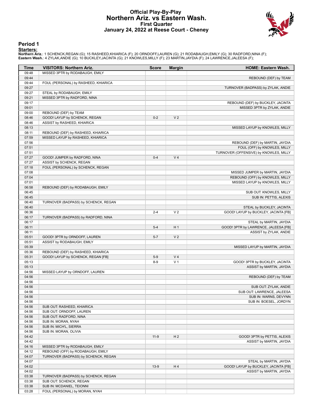#### **Official Play-By-Play Northern Ariz. vs Eastern Wash. First Quarter January 24, 2022 at Reese Court - Cheney**



#### **Period 1**

#### **Starters:**

**Northern Ariz**.: 1 SCHENCK,REGAN (G); 15 RASHEED,KHIARICA (F); 20 ORNDOFF,LAUREN (G); 21 RODABAUGH,EMILY (G); 30 RADFORD,NINA (F);<br>**Eastern Wash.**: 4 ZYLAK,ANDIE (G); 10 BUCKLEY,JACINTA (G); 21 KNOWLES,MILLY (F); 23 MARTI

| Time           | <b>VISITORS: Northern Ariz.</b>      | <b>Score</b> | <b>Margin</b>  | <b>HOME: Eastern Wash.</b>                                             |
|----------------|--------------------------------------|--------------|----------------|------------------------------------------------------------------------|
| 09:48          | MISSED 3PTR by RODABAUGH, EMILY      |              |                |                                                                        |
| 09:44          |                                      |              |                | REBOUND (DEF) by TEAM                                                  |
| 09:44          | FOUL (PERSONAL) by RASHEED, KHIARICA |              |                |                                                                        |
| 09:27          |                                      |              |                | TURNOVER (BADPASS) by ZYLAK, ANDIE                                     |
| 09:27          | STEAL by RODABAUGH, EMILY            |              |                |                                                                        |
| 09:21<br>09:17 | MISSED 3PTR by RADFORD, NINA         |              |                | REBOUND (DEF) by BUCKLEY, JACINTA                                      |
| 09:01          |                                      |              |                | MISSED 3PTR by ZYLAK, ANDIE                                            |
| 09:00          | REBOUND (DEF) by TEAM                |              |                |                                                                        |
| 08:46          | GOOD! LAYUP by SCHENCK, REGAN        | $0 - 2$      | V <sub>2</sub> |                                                                        |
| 08:46          | ASSIST by RASHEED, KHIARICA          |              |                |                                                                        |
| 08:13          |                                      |              |                | MISSED LAYUP by KNOWLES, MILLY                                         |
| 08:11          | REBOUND (DEF) by RASHEED, KHIARICA   |              |                |                                                                        |
| 07:59          | MISSED LAYUP by RASHEED, KHIARICA    |              |                |                                                                        |
| 07:56          |                                      |              |                | REBOUND (DEF) by MARTIN, JAYDIA                                        |
| 07:51<br>07:51 |                                      |              |                | FOUL (OFF) by KNOWLES, MILLY<br>TURNOVER (OFFENSIVE) by KNOWLES, MILLY |
| 07:27          | GOOD! JUMPER by RADFORD, NINA        | $0 - 4$      | V <sub>4</sub> |                                                                        |
| 07:27          | ASSIST by SCHENCK, REGAN             |              |                |                                                                        |
| 07:18          | FOUL (PERSONAL) by SCHENCK, REGAN    |              |                |                                                                        |
| 07:08          |                                      |              |                | MISSED JUMPER by MARTIN, JAYDIA                                        |
| 07:04          |                                      |              |                | REBOUND (OFF) by KNOWLES, MILLY                                        |
| 07:01          |                                      |              |                | MISSED LAYUP by KNOWLES, MILLY                                         |
| 06:58          | REBOUND (DEF) by RODABAUGH, EMILY    |              |                |                                                                        |
| 06:45          |                                      |              |                | SUB OUT: KNOWLES, MILLY                                                |
| 06:45          |                                      |              |                | SUB IN: PETTIS, ALEXIS                                                 |
| 06:40          | TURNOVER (BADPASS) by SCHENCK, REGAN |              |                |                                                                        |
| 06:40<br>06:36 |                                      | $2 - 4$      | V <sub>2</sub> | STEAL by BUCKLEY, JACINTA<br>GOOD! LAYUP by BUCKLEY, JACINTA [FB]      |
| 06:17          | TURNOVER (BADPASS) by RADFORD, NINA  |              |                |                                                                        |
| 06:17          |                                      |              |                | STEAL by MARTIN, JAYDIA                                                |
| 06:11          |                                      | $5 - 4$      | H <sub>1</sub> | GOOD! 3PTR by LAWRENCE, JALEESA [FB]                                   |
| 06:11          |                                      |              |                | ASSIST by ZYLAK, ANDIE                                                 |
| 05:51          | GOOD! 3PTR by ORNDOFF, LAUREN        | $5 - 7$      | V <sub>2</sub> |                                                                        |
| 05:51          | ASSIST by RODABAUGH, EMILY           |              |                |                                                                        |
| 05:39          |                                      |              |                | MISSED LAYUP by MARTIN, JAYDIA                                         |
| 05:36          | REBOUND (DEF) by RASHEED, KHIARICA   |              |                |                                                                        |
| 05:31          | GOOD! LAYUP by SCHENCK, REGAN [FB]   | $5-9$        | V <sub>4</sub> |                                                                        |
| 05:13          |                                      | $8 - 9$      | V <sub>1</sub> | GOOD! 3PTR by BUCKLEY, JACINTA                                         |
| 05:13<br>04:56 |                                      |              |                | ASSIST by MARTIN, JAYDIA                                               |
| 04:56          | MISSED LAYUP by ORNDOFF, LAUREN      |              |                | REBOUND (DEF) by TEAM                                                  |
| 04:56          |                                      |              |                |                                                                        |
| 04:56          |                                      |              |                | SUB OUT: ZYLAK, ANDIE                                                  |
| 04:56          |                                      |              |                | SUB OUT: LAWRENCE, JALEESA                                             |
| 04:56          |                                      |              |                | SUB IN: WARNS, DEVYNN                                                  |
| 04:56          |                                      |              |                | SUB IN: BOESEL, JORDYN                                                 |
| 04:56          | SUB OUT: RASHEED, KHIARICA           |              |                |                                                                        |
| 04:56          | SUB OUT: ORNDOFF, LAUREN             |              |                |                                                                        |
| 04:56          | SUB OUT: RADFORD, NINA               |              |                |                                                                        |
| 04:56          | SUB IN: MORAN, NYAH                  |              |                |                                                                        |
| 04:56          | SUB IN: MICH'L, SIERRA               |              |                |                                                                        |
| 04:56<br>04:42 | SUB IN: MORAN, OLIVIA                | $11-9$       | H <sub>2</sub> | GOOD! 3PTR by PETTIS, ALEXIS                                           |
| 04:42          |                                      |              |                | ASSIST by MARTIN, JAYDIA                                               |
| 04:16          | MISSED 3PTR by RODABAUGH, EMILY      |              |                |                                                                        |
| 04:12          | REBOUND (OFF) by RODABAUGH, EMILY    |              |                |                                                                        |
| 04:07          | TURNOVER (BADPASS) by SCHENCK, REGAN |              |                |                                                                        |
| 04:07          |                                      |              |                | STEAL by MARTIN, JAYDIA                                                |
| 04:02          |                                      | $13-9$       | H4             | GOOD! LAYUP by BUCKLEY, JACINTA [FB]                                   |
| 04:02          |                                      |              |                | ASSIST by MARTIN, JAYDIA                                               |
| 03:38          | TURNOVER (BADPASS) by SCHENCK, REGAN |              |                |                                                                        |
| 03:38          | SUB OUT: SCHENCK, REGAN              |              |                |                                                                        |
| 03:38          | SUB IN: MCDANIEL, TEIONNI            |              |                |                                                                        |
| 03:28          | FOUL (PERSONAL) by MORAN, NYAH       |              |                |                                                                        |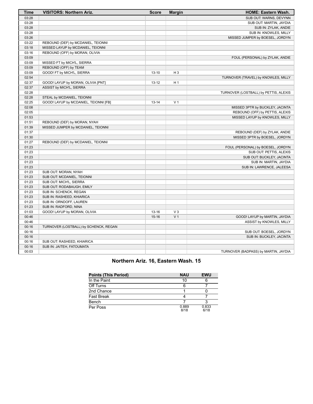| Time  | <b>VISITORS: Northern Ariz.</b>       | <b>Score</b> | <b>Margin</b>  | <b>HOME: Eastern Wash.</b>            |
|-------|---------------------------------------|--------------|----------------|---------------------------------------|
| 03:28 |                                       |              |                | SUB OUT: WARNS, DEVYNN                |
| 03:28 |                                       |              |                | SUB OUT: MARTIN, JAYDIA               |
| 03:28 |                                       |              |                | SUB IN: ZYLAK, ANDIE                  |
| 03:28 |                                       |              |                | SUB IN: KNOWLES, MILLY                |
| 03:26 |                                       |              |                | MISSED JUMPER by BOESEL, JORDYN       |
| 03:22 | REBOUND (DEF) by MCDANIEL, TEIONNI    |              |                |                                       |
| 03:18 | MISSED LAYUP by MCDANIEL, TEIONNI     |              |                |                                       |
| 03:16 | REBOUND (OFF) by MORAN, OLIVIA        |              |                |                                       |
| 03:09 |                                       |              |                | FOUL (PERSONAL) by ZYLAK, ANDIE       |
| 03:09 | MISSED FT by MICH'L, SIERRA           |              |                |                                       |
| 03:09 | REBOUND (OFF) by TEAM                 |              |                |                                       |
| 03:09 | GOOD! FT by MICH'L, SIERRA            | $13 - 10$    | $H_3$          |                                       |
| 02:54 |                                       |              |                | TURNOVER (TRAVEL) by KNOWLES, MILLY   |
| 02:37 | GOOD! LAYUP by MORAN, OLIVIA [PNT]    | $13 - 12$    | H <sub>1</sub> |                                       |
| 02:37 | ASSIST by MICH'L, SIERRA              |              |                |                                       |
| 02:28 |                                       |              |                | TURNOVER (LOSTBALL) by PETTIS, ALEXIS |
| 02:28 | STEAL by MCDANIEL, TEIONNI            |              |                |                                       |
| 02:25 | GOOD! LAYUP by MCDANIEL, TEIONNI [FB] | $13 - 14$    | V <sub>1</sub> |                                       |
| 02:08 |                                       |              |                | MISSED 3PTR by BUCKLEY, JACINTA       |
| 02:05 |                                       |              |                | REBOUND (OFF) by PETTIS, ALEXIS       |
| 01:53 |                                       |              |                | MISSED LAYUP by KNOWLES, MILLY        |
| 01:51 | REBOUND (DEF) by MORAN, NYAH          |              |                |                                       |
| 01:39 | MISSED JUMPER by MCDANIEL, TEIONNI    |              |                |                                       |
| 01:37 |                                       |              |                | REBOUND (DEF) by ZYLAK, ANDIE         |
| 01:30 |                                       |              |                | MISSED 3PTR by BOESEL, JORDYN         |
| 01:27 | REBOUND (DEF) by MCDANIEL, TEIONNI    |              |                |                                       |
| 01:23 |                                       |              |                | FOUL (PERSONAL) by BOESEL, JORDYN     |
| 01:23 |                                       |              |                | SUB OUT: PETTIS, ALEXIS               |
| 01:23 |                                       |              |                | SUB OUT: BUCKLEY, JACINTA             |
| 01:23 |                                       |              |                | SUB IN: MARTIN, JAYDIA                |
| 01:23 |                                       |              |                | SUB IN: LAWRENCE, JALEESA             |
| 01:23 | SUB OUT: MORAN, NYAH                  |              |                |                                       |
| 01:23 | SUB OUT: MCDANIEL, TEIONNI            |              |                |                                       |
| 01:23 | SUB OUT: MICH'L, SIERRA               |              |                |                                       |
| 01:23 | SUB OUT: RODABAUGH, EMILY             |              |                |                                       |
| 01:23 | SUB IN: SCHENCK, REGAN                |              |                |                                       |
| 01:23 | SUB IN: RASHEED, KHIARICA             |              |                |                                       |
| 01:23 | SUB IN: ORNDOFF, LAUREN               |              |                |                                       |
| 01:23 | SUB IN: RADFORD, NINA                 |              |                |                                       |
| 01:03 | GOOD! LAYUP by MORAN, OLIVIA          | 13-16        | $V_3$          |                                       |
| 00:46 |                                       | $15-16$      | V <sub>1</sub> | GOOD! LAYUP by MARTIN, JAYDIA         |
| 00:46 |                                       |              |                | ASSIST by KNOWLES, MILLY              |
| 00:16 | TURNOVER (LOSTBALL) by SCHENCK, REGAN |              |                |                                       |
| 00:16 |                                       |              |                | SUB OUT: BOESEL, JORDYN               |
| 00:16 |                                       |              |                | SUB IN: BUCKLEY, JACINTA              |
| 00:16 | SUB OUT: RASHEED, KHIARICA            |              |                |                                       |
| 00:16 | SUB IN: JAITEH, FATOUMATA             |              |                |                                       |
| 00:03 |                                       |              |                | TURNOVER (BADPASS) by MARTIN, JAYDIA  |

## **Northern Ariz. 16, Eastern Wash. 15**

| <b>Points (This Period)</b> | <b>NAU</b>    | <b>EWU</b>    |
|-----------------------------|---------------|---------------|
| In the Paint                | 10            |               |
| Off Turns                   |               |               |
| 2nd Chance                  |               |               |
| <b>Fast Break</b>           |               |               |
| Bench                       |               |               |
| Per Poss                    | 0.889<br>8/18 | 0.833<br>6/18 |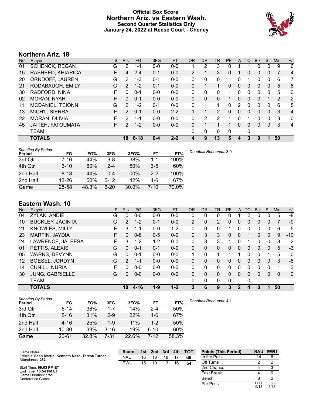## **Official Box Score Northern Ariz. vs Eastern Wash. Second Quarter Statistics Only January 24, 2022 at Reese Court - Cheney**



# **Northern Ariz. 18**

| No. | Plaver                | S  | <b>Pts</b>     | <b>FG</b> | 3FG     | <b>FT</b> | <b>OR</b>      | <b>DR</b> | TR | <b>PF</b>    | A            | TO | <b>Blk</b> | Stl      | Min | $+/-$          |
|-----|-----------------------|----|----------------|-----------|---------|-----------|----------------|-----------|----|--------------|--------------|----|------------|----------|-----|----------------|
| 01  | <b>SCHENCK, REGAN</b> | G  | 2              | 1-1       | $0-0$   | $0 - 0$   |                | 2         | 3  | 0            |              |    | 0          | 0        | 9   | 6              |
| 15  | RASHEED, KHIARICA     | F  | 4              | $2 - 4$   | $0 - 1$ | $0 - 0$   | $\overline{2}$ |           | 3  | $\Omega$     |              | 0  | 0          | 0        | 7   | 4              |
| 20  | ORNDOFF, LAUREN       | G  | 2              | 1-3       | $0 - 1$ | $0 - 0$   | 0              | 0         | 0  | 1            | 0            |    | 0          | 0        | 6   | $\overline{7}$ |
| 21  | RODABAUGH, EMILY      | G  | $\overline{2}$ | $1 - 2$   | $0 - 1$ | $0 - 0$   | 0              |           | 1. | $\mathbf{0}$ | $\mathbf{0}$ | 0  | 0          | 0        | 5   | 8              |
| 30  | RADFORD, NINA         | F  | 0              | $0 - 1$   | $0 - 0$ | $0 - 0$   | 0              | 0         | 0  |              | 0            | 0  | 0          | 0        | 5   | 0              |
| 02  | <b>MORAN, NYAH</b>    | F  | $\Omega$       | $0 - 1$   | $0 - 0$ | $0 - 0$   | $\Omega$       | $\Omega$  | 0  |              | $\Omega$     | 0  | 0          |          | 2   | 2              |
| 11  | MCDANIEL, TEIONNI     | G  | $\overline{2}$ | $1 - 2$   | $0 - 1$ | $0 - 0$   | 0              |           | 1  | 0            | 2            | 0  | 0          | 0        | 6   | 5              |
| 13  | MICH'L, SIERRA        | F. | $\overline{2}$ | $0 - 1$   | $0 - 0$ | $2 - 2$   |                |           | 2  | $\Omega$     | $\Omega$     | 0  | 0          | $\Omega$ | 3   | $\overline{4}$ |
| 22  | MORAN, OLIVIA         | F  | 2              | 1-1       | $0 - 0$ | $0 - 0$   | 0              | 2         | 2  |              | 0            |    | 0          | 0        | 3   | 0              |
| 45  | JAITEH, FATOUMATA     | F. | $\mathcal{P}$  | $1 - 2$   | $0 - 0$ | $0 - 0$   | $\Omega$       |           | 1  | 1            | 0            | 0  | 0          | $\Omega$ | 3   | $\overline{4}$ |
|     | <b>TEAM</b>           |    |                |           |         |           | 0              | 0         | 0  | 0            |              | 0  |            |          |     |                |
|     | <b>TOTALS</b>         |    | 18             | $8 - 18$  | $0 - 4$ | $2 - 2$   | 4              | 9         | 13 | 5            | 4            | 3  | 0          |          | 50  |                |

| <b>Shooting By Period</b><br>Period | FG       | FG%   | 3FG      | 3FG%  | <b>FT</b> | FT%   | Deadball Rebounds: 3,0 |
|-------------------------------------|----------|-------|----------|-------|-----------|-------|------------------------|
| 3rd Qtr                             | 7-16     | 44%   | $3 - 8$  | 38%   | 1-1       | 100%  |                        |
| 4th Qtr                             | $6 - 10$ | 60%   | $2 - 4$  | 50%   | $3-5$     | 60%   |                        |
| 2nd Half                            | $8 - 18$ | 44%   | $0 - 4$  | 00%   | $2 - 2$   | 100%  |                        |
| 2nd Half                            | 13-26    | 50%   | $5 - 12$ | 42%   | 4-6       | 67%   |                        |
| Game                                | 28-58    | 48.3% | $6 - 20$ | 30.0% | 7-10      | 70.0% |                        |

## **Eastern Wash. 10**

| No. | Player                  | S  | Pts            | FG.      | 3FG     | <b>FT</b> | <b>OR</b>      | <b>DR</b> | TR             | PF | A              | TO       | <b>Blk</b> | <b>Stl</b>   | Min          | $+/-$        |
|-----|-------------------------|----|----------------|----------|---------|-----------|----------------|-----------|----------------|----|----------------|----------|------------|--------------|--------------|--------------|
| 04  | ZYLAK, ANDIE            | G  | 0              | $0-0$    | $0 - 0$ | $0-0$     | 0              | 0         | 0              | 0  |                |          | 0          | 0            | 5            | -8           |
| 10  | <b>BUCKLEY, JACINTA</b> | G  | $\overline{2}$ | $1 - 2$  | $0 - 1$ | $0 - 0$   | $\overline{2}$ | 0         | $\overline{2}$ | 0  | $\overline{0}$ | $\Omega$ | 0          | $\mathbf{0}$ |              | -9           |
| 21  | <b>KNOWLES, MILLY</b>   | F  | 3              | 1-1      | $0 - 0$ | $1-2$     | 0              | 0         | 0              |    | 0              | O        | 0          | 0            | 6            | -5           |
| 23  | <b>MARTIN, JAYDIA</b>   | F. | 0              | $0 - 8$  | $0 - 5$ | $0 - 0$   | $\Omega$       | 3         | 3              | 0  | 0              |          | 0          | $\mathbf{0}$ | 9            | $-10$        |
| 24  | LAWRENCE, JALEESA       | F. | 3              | $1 - 2$  | $1 - 2$ | $0 - 0$   | 0              | 3         | 3              |    | 0              |          | 0          | $\mathbf{0}$ | 8            | $-2$         |
| 01  | PETTIS, ALEXIS          | G  | $\Omega$       | $0 - 1$  | $0 - 1$ | $0 - 0$   | $\Omega$       | $\Omega$  | $\Omega$       | 0  | $\Omega$       | $\Omega$ | 0          | $\Omega$     | 5            | $-3$         |
| 05  | <b>WARNS, DEVYNN</b>    | G  | 0              | $0 - 1$  | $0 - 0$ | $0-0$     |                | $\Omega$  | 1              |    |                | 0        | 0          |              | 5            | 0            |
| 12  | <b>BOESEL, JORDYN</b>   | G  | $\mathcal{P}$  | $1 - 1$  | $0 - 0$ | $0 - 0$   | $\Omega$       | 0         | 0              | 0  | $\overline{0}$ | $\Omega$ | 0          | $\Omega$     | 3            | -6           |
| 14  | <b>CUNILL, NURIA</b>    | F  | 0              | $0 - 0$  | $0 - 0$ | $0 - 0$   | 0              | 0         | 0              | 0  | 0              | ∩        | 0          | 0            |              | 3            |
| 30  | <b>JUNG, GABRIELLE</b>  | G  | 0              | $0 - 0$  | $0 - 0$ | $0 - 0$   | 0              | 0         | 0              | 0  | $\Omega$       | $\Omega$ | 0          | $\Omega$     | $\mathbf{0}$ | $\mathbf{0}$ |
|     | <b>TEAM</b>             |    |                |          |         |           | 0              | 0         | $\mathbf{0}$   | 0  |                | 0        |            |              |              |              |
|     | <b>TOTALS</b>           |    | 10             | $4 - 16$ | $1 - 9$ | $1 - 2$   | 3              | 6         | 9              | 3  | 2              | 4        | 0          |              | 50           |              |

| <b>Shooting By Period</b><br>Period | FG        | FG%   | 3FG      | 3FG%  | FT       | FT%   | Dead |
|-------------------------------------|-----------|-------|----------|-------|----------|-------|------|
| 3rd Qtr                             | $5 - 14$  | 36%   | 1-7      | 14%   | $2 - 4$  | 50%   |      |
| 4th Qtr                             | $5 - 16$  | 31%   | $2 - 9$  | 22%   | $4-6$    | 67%   |      |
| 2nd Half                            | $4 - 16$  | 25%   | $1 - 9$  | 11%   | $1 - 2$  | 50%   |      |
| 2nd Half                            | $10 - 30$ | 33%   | $3 - 16$ | 19%   | $6 - 10$ | 60%   |      |
| Game                                | $20 - 61$ | 32.8% | 7-31     | 22.6% | 7-12     | 58.3% |      |

*Deadball Rebounds:* 4,1

| Game Notes:                                                            | <b>Score</b> | 1st. | 2nd | 3rd | 4th | <b>TOT</b> | <b>Points (This Period)</b> | <b>NAU</b>    | <b>EWU</b>    |
|------------------------------------------------------------------------|--------------|------|-----|-----|-----|------------|-----------------------------|---------------|---------------|
| Officials: Sean Martin, Kenneth Nash, Teresa Turner<br>Attendance: 252 | NAU          | 16   | 18  | 18  |     | 69         | In the Paint                |               |               |
|                                                                        | EWU          | 15   | 10  | 13  | 16  | 54         | Off Turns                   |               |               |
| Start Time: 09:03 PM ET                                                |              |      |     |     |     |            | 2nd Chance                  |               |               |
| End Time: 10:54 PM ET<br>Game Duration: 1:51                           |              |      |     |     |     |            | <b>Fast Break</b>           |               |               |
| Conference Game;                                                       |              |      |     |     |     |            | Bench                       |               |               |
|                                                                        |              |      |     |     |     |            | Per Poss                    | 1.000<br>9/18 | 0.556<br>5/18 |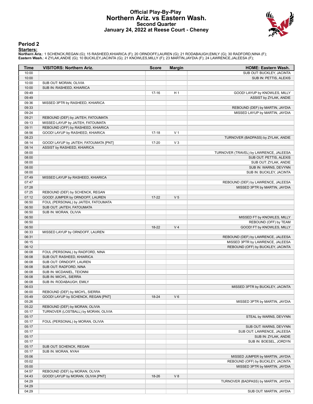#### **Official Play-By-Play Northern Ariz. vs Eastern Wash. Second Quarter January 24, 2022 at Reese Court - Cheney**



#### **Period 2**

#### **Starters:**

**Northern Ariz**.: 1 SCHENCK,REGAN (G); 15 RASHEED,KHIARICA (F); 20 ORNDOFF,LAUREN (G); 21 RODABAUGH,EMILY (G); 30 RADFORD,NINA (F);<br>**Eastern Wash.**: 4 ZYLAK,ANDIE (G); 10 BUCKLEY,JACINTA (G); 21 KNOWLES,MILLY (F); 23 MARTI

| Time  | <b>VISITORS: Northern Ariz.</b>        | <b>Score</b> | <b>Margin</b>  | <b>HOME: Eastern Wash.</b>             |
|-------|----------------------------------------|--------------|----------------|----------------------------------------|
| 10:00 |                                        |              |                | SUB OUT: BUCKLEY, JACINTA              |
| 10:00 |                                        |              |                | SUB IN: PETTIS, ALEXIS                 |
| 10:00 | SUB OUT: MORAN, OLIVIA                 |              |                |                                        |
| 10:00 | SUB IN: RASHEED, KHIARICA              |              |                |                                        |
| 09:49 |                                        | $17 - 16$    | H <sub>1</sub> | GOOD! LAYUP by KNOWLES, MILLY          |
| 09:49 |                                        |              |                | ASSIST by ZYLAK, ANDIE                 |
| 09:36 | MISSED 3PTR by RASHEED, KHIARICA       |              |                |                                        |
| 09:33 |                                        |              |                | REBOUND (DEF) by MARTIN, JAYDIA        |
| 09:24 |                                        |              |                | MISSED LAYUP by MARTIN, JAYDIA         |
| 09:21 | REBOUND (DEF) by JAITEH, FATOUMATA     |              |                |                                        |
| 09:13 | MISSED LAYUP by JAITEH, FATOUMATA      |              |                |                                        |
| 09:11 | REBOUND (OFF) by RASHEED, KHIARICA     |              |                |                                        |
| 08:56 | GOOD! LAYUP by RASHEED, KHIARICA       | $17-18$      | V <sub>1</sub> |                                        |
| 08:23 |                                        |              |                | TURNOVER (BADPASS) by ZYLAK, ANDIE     |
| 08:14 | GOOD! LAYUP by JAITEH, FATOUMATA [PNT] | 17-20        | $V_3$          |                                        |
| 08:14 | ASSIST by RASHEED, KHIARICA            |              |                |                                        |
| 08:00 |                                        |              |                | TURNOVER (TRAVEL) by LAWRENCE, JALEESA |
| 08:00 |                                        |              |                | SUB OUT: PETTIS, ALEXIS                |
| 08:00 |                                        |              |                | SUB OUT: ZYLAK, ANDIE                  |
| 08:00 |                                        |              |                | SUB IN: WARNS, DEVYNN                  |
| 08:00 |                                        |              |                | SUB IN: BUCKLEY, JACINTA               |
| 07:49 | MISSED LAYUP by RASHEED, KHIARICA      |              |                |                                        |
| 07:47 |                                        |              |                | REBOUND (DEF) by LAWRENCE, JALEESA     |
| 07:28 |                                        |              |                | MISSED 3PTR by MARTIN, JAYDIA          |
| 07:25 | REBOUND (DEF) by SCHENCK, REGAN        |              |                |                                        |
| 07:12 | GOOD! JUMPER by ORNDOFF, LAUREN        | $17 - 22$    | V <sub>5</sub> |                                        |
| 06:50 | FOUL (PERSONAL) by JAITEH, FATOUMATA   |              |                |                                        |
| 06:50 | SUB OUT: JAITEH, FATOUMATA             |              |                |                                        |
| 06:50 | SUB IN: MORAN, OLIVIA                  |              |                |                                        |
| 06:50 |                                        |              |                | MISSED FT by KNOWLES, MILLY            |
| 06:50 |                                        |              |                | REBOUND (OFF) by TEAM                  |
| 06:50 |                                        | 18-22        | V <sub>4</sub> | GOOD! FT by KNOWLES, MILLY             |
| 06:33 | MISSED LAYUP by ORNDOFF, LAUREN        |              |                |                                        |
| 06:31 |                                        |              |                | REBOUND (DEF) by LAWRENCE, JALEESA     |
| 06:15 |                                        |              |                | MISSED 3PTR by LAWRENCE, JALEESA       |
| 06:12 |                                        |              |                | REBOUND (OFF) by BUCKLEY, JACINTA      |
| 06:08 | FOUL (PERSONAL) by RADFORD, NINA       |              |                |                                        |
| 06:08 | SUB OUT: RASHEED, KHIARICA             |              |                |                                        |
| 06:08 | SUB OUT: ORNDOFF, LAUREN               |              |                |                                        |
| 06:08 | SUB OUT: RADFORD, NINA                 |              |                |                                        |
| 06:08 | SUB IN: MCDANIEL, TEIONNI              |              |                |                                        |
| 06:08 | SUB IN: MICH'L, SIERRA                 |              |                |                                        |
| 06:08 | SUB IN: RODABAUGH, EMILY               |              |                |                                        |
|       |                                        |              |                | MISSED 3PTR by BUCKLEY, JACINTA        |
| 06:03 |                                        |              |                |                                        |
| 06:00 | REBOUND (DEF) by MICH'L, SIERRA        |              |                |                                        |
| 05:49 | GOOD! LAYUP by SCHENCK, REGAN [PNT]    | 18-24        | $V_6$          |                                        |
| 05:26 |                                        |              |                | MISSED 3PTR by MARTIN, JAYDIA          |
| 05:22 | REBOUND (DEF) by MORAN, OLIVIA         |              |                |                                        |
| 05:17 | TURNOVER (LOSTBALL) by MORAN, OLIVIA   |              |                |                                        |
| 05:17 |                                        |              |                | STEAL by WARNS, DEVYNN                 |
| 05:17 | FOUL (PERSONAL) by MORAN, OLIVIA       |              |                |                                        |
| 05:17 |                                        |              |                | SUB OUT: WARNS, DEVYNN                 |
| 05:17 |                                        |              |                | SUB OUT: LAWRENCE, JALEESA             |
| 05:17 |                                        |              |                | SUB IN: ZYLAK, ANDIE                   |
| 05:17 |                                        |              |                | SUB IN: BOESEL, JORDYN                 |
| 05:17 | SUB OUT: SCHENCK, REGAN                |              |                |                                        |
| 05:17 | SUB IN: MORAN, NYAH                    |              |                |                                        |
| 05:06 |                                        |              |                | MISSED JUMPER by MARTIN, JAYDIA        |
| 05:02 |                                        |              |                | REBOUND (OFF) by BUCKLEY, JACINTA      |
| 05:00 |                                        |              |                | MISSED 3PTR by MARTIN, JAYDIA          |
| 04:57 | REBOUND (DEF) by MORAN, OLIVIA         |              |                |                                        |
| 04:43 | GOOD! LAYUP by MORAN, OLIVIA [PNT]     | 18-26        | V8             |                                        |
| 04:29 |                                        |              |                | TURNOVER (BADPASS) by MARTIN, JAYDIA   |
| 04:29 |                                        |              |                |                                        |
| 04:29 |                                        |              |                | SUB OUT: MARTIN, JAYDIA                |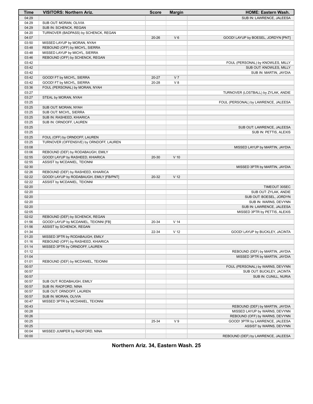| Time  | <b>VISITORS: Northern Ariz.</b>          | <b>Score</b> | <b>Margin</b>   | <b>HOME: Eastern Wash.</b>           |
|-------|------------------------------------------|--------------|-----------------|--------------------------------------|
| 04:29 |                                          |              |                 | SUB IN: LAWRENCE, JALEESA            |
| 04:29 | SUB OUT: MORAN, OLIVIA                   |              |                 |                                      |
| 04:29 | SUB IN: SCHENCK, REGAN                   |              |                 |                                      |
| 04:20 | TURNOVER (BADPASS) by SCHENCK, REGAN     |              |                 |                                      |
| 04:07 |                                          | $20 - 26$    | $V_6$           | GOOD! LAYUP by BOESEL, JORDYN [PNT]  |
| 03:50 | MISSED LAYUP by MORAN, NYAH              |              |                 |                                      |
| 03:48 | REBOUND (OFF) by MICH'L, SIERRA          |              |                 |                                      |
| 03:48 | MISSED LAYUP by MICH'L, SIERRA           |              |                 |                                      |
| 03:46 | REBOUND (OFF) by SCHENCK, REGAN          |              |                 |                                      |
| 03:42 |                                          |              |                 | FOUL (PERSONAL) by KNOWLES, MILLY    |
| 03:42 |                                          |              |                 | SUB OUT: KNOWLES, MILLY              |
|       |                                          |              |                 |                                      |
| 03:42 |                                          |              |                 | SUB IN: MARTIN, JAYDIA               |
| 03:42 | GOOD! FT by MICH'L, SIERRA               | $20 - 27$    | V <sub>7</sub>  |                                      |
| 03:42 | GOOD! FT by MICH'L, SIERRA               | 20-28        | V8              |                                      |
| 03:36 | FOUL (PERSONAL) by MORAN, NYAH           |              |                 |                                      |
| 03:27 |                                          |              |                 | TURNOVER (LOSTBALL) by ZYLAK, ANDIE  |
| 03:27 | STEAL by MORAN, NYAH                     |              |                 |                                      |
| 03:25 |                                          |              |                 | FOUL (PERSONAL) by LAWRENCE, JALEESA |
| 03:25 | SUB OUT: MORAN, NYAH                     |              |                 |                                      |
| 03:25 | SUB OUT: MICH'L, SIERRA                  |              |                 |                                      |
| 03:25 | SUB IN: RASHEED, KHIARICA                |              |                 |                                      |
| 03:25 | SUB IN: ORNDOFF, LAUREN                  |              |                 |                                      |
| 03:25 |                                          |              |                 | SUB OUT: LAWRENCE, JALEESA           |
| 03:25 |                                          |              |                 | SUB IN: PETTIS, ALEXIS               |
| 03:25 | FOUL (OFF) by ORNDOFF, LAUREN            |              |                 |                                      |
| 03:25 | TURNOVER (OFFENSIVE) by ORNDOFF, LAUREN  |              |                 |                                      |
| 03:08 |                                          |              |                 | MISSED LAYUP by MARTIN, JAYDIA       |
| 03:06 | REBOUND (DEF) by RODABAUGH, EMILY        |              |                 |                                      |
| 02:55 | GOOD! LAYUP by RASHEED, KHIARICA         | $20 - 30$    | $V$ 10          |                                      |
| 02:55 | ASSIST by MCDANIEL, TEIONNI              |              |                 |                                      |
| 02:30 |                                          |              |                 | MISSED 3PTR by MARTIN, JAYDIA        |
| 02:26 | REBOUND (DEF) by RASHEED, KHIARICA       |              |                 |                                      |
| 02:22 | GOOD! LAYUP by RODABAUGH, EMILY [FB/PNT] | 20-32        | V <sub>12</sub> |                                      |
| 02:22 | ASSIST by MCDANIEL, TEIONNI              |              |                 |                                      |
| 02:20 |                                          |              |                 | TIMEOUT 30SEC                        |
| 02:20 |                                          |              |                 | SUB OUT: ZYLAK, ANDIE                |
| 02:20 |                                          |              |                 | SUB OUT: BOESEL, JORDYN              |
| 02:20 |                                          |              |                 | SUB IN: WARNS, DEVYNN                |
| 02:20 |                                          |              |                 | SUB IN: LAWRENCE, JALEESA            |
| 02:05 |                                          |              |                 | MISSED 3PTR by PETTIS, ALEXIS        |
| 02:02 | REBOUND (DEF) by SCHENCK, REGAN          |              |                 |                                      |
| 01:56 | GOOD! LAYUP by MCDANIEL, TEIONNI [FB]    | 20-34        | V <sub>14</sub> |                                      |
| 01:56 | ASSIST by SCHENCK, REGAN                 |              |                 |                                      |
| 01:34 |                                          | 22-34        | V <sub>12</sub> | GOOD! LAYUP by BUCKLEY, JACINTA      |
| 01:20 | MISSED 3PTR by RODABAUGH, EMILY          |              |                 |                                      |
| 01:16 | REBOUND (OFF) by RASHEED, KHIARICA       |              |                 |                                      |
| 01:14 | MISSED 3PTR by ORNDOFF, LAUREN           |              |                 |                                      |
| 01:12 |                                          |              |                 | REBOUND (DEF) by MARTIN, JAYDIA      |
| 01:04 |                                          |              |                 | MISSED 3PTR by MARTIN, JAYDIA        |
| 01:01 | REBOUND (DEF) by MCDANIEL, TEIONNI       |              |                 |                                      |
| 00:57 |                                          |              |                 | FOUL (PERSONAL) by WARNS, DEVYNN     |
| 00:57 |                                          |              |                 | SUB OUT: BUCKLEY, JACINTA            |
| 00:57 |                                          |              |                 | SUB IN: CUNILL, NURIA                |
| 00:57 | SUB OUT: RODABAUGH, EMILY                |              |                 |                                      |
| 00:57 | SUB IN: RADFORD, NINA                    |              |                 |                                      |
| 00:57 | SUB OUT: ORNDOFF, LAUREN                 |              |                 |                                      |
| 00:57 | SUB IN: MORAN, OLIVIA                    |              |                 |                                      |
| 00:47 | MISSED 3PTR by MCDANIEL, TEIONNI         |              |                 |                                      |
| 00:43 |                                          |              |                 | REBOUND (DEF) by MARTIN, JAYDIA      |
| 00:28 |                                          |              |                 | MISSED LAYUP by WARNS, DEVYNN        |
|       |                                          |              |                 |                                      |
| 00:26 |                                          |              |                 | REBOUND (OFF) by WARNS, DEVYNN       |
| 00:25 |                                          | 25-34        | V <sub>9</sub>  | GOOD! 3PTR by LAWRENCE, JALEESA      |
| 00:25 |                                          |              |                 | ASSIST by WARNS, DEVYNN              |
| 00:04 | MISSED JUMPER by RADFORD, NINA           |              |                 |                                      |
| 00:00 |                                          |              |                 | REBOUND (DEF) by LAWRENCE, JALEESA   |

**Northern Ariz. 34, Eastern Wash. 25**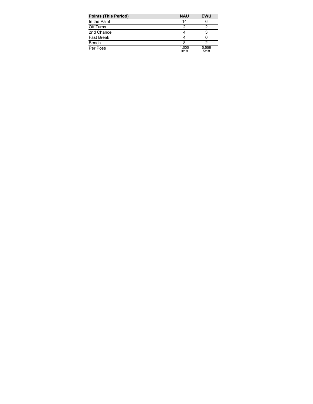| <b>Points (This Period)</b> | <b>NAU</b>    | <b>EWU</b>    |
|-----------------------------|---------------|---------------|
| In the Paint                | 14            |               |
| Off Turns                   |               |               |
| 2nd Chance                  |               |               |
| <b>Fast Break</b>           |               |               |
| Bench                       |               |               |
| Per Poss                    | 1.000<br>9/18 | 0.556<br>5/18 |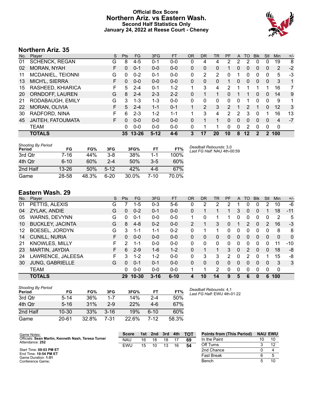## **Official Box Score Northern Ariz. vs Eastern Wash. Second Half Statistics Only January 24, 2022 at Reese Court - Cheney**



## **Northern Ariz. 35**

| No. | Plaver                | S  | <b>Pts</b> | <b>FG</b> | 3FG     | <b>FT</b> | OR | <b>DR</b> | TR       | PF            | A | TO            | <b>Blk</b> | Stl      | <b>Min</b> | $+/-$ |
|-----|-----------------------|----|------------|-----------|---------|-----------|----|-----------|----------|---------------|---|---------------|------------|----------|------------|-------|
| 01  | <b>SCHENCK, REGAN</b> | G  | 8          | $4-5$     | 0-1     | $0 - 0$   | 0  | 4         | 4        | 2             | 2 | 2             | $\Omega$   | 0        | 19         | 8     |
| 02  | <b>MORAN, NYAH</b>    | F  | 0          | $0 - 1$   | $0 - 0$ | $0 - 0$   | 0  | 0         | 0        |               | 0 | 0             | 0          | 0        | 2          | $-2$  |
| 11  | MCDANIEL, TEIONNI     | G  | 0          | $0 - 2$   | 0-1     | $0 - 0$   | 0  | 2         | 2        | 0             |   | 0             | 0          | 0        | 5          | -3    |
| 13  | MICH'L, SIERRA        | F  | 0          | $0 - 0$   | $0 - 0$ | $0 - 0$   | 0  | 0         | 0        |               | 0 | 0             | 0          | 0        | 3          | 1     |
| 15  | RASHEED, KHIARICA     | F  | 5          | $2 - 4$   | $0 - 1$ | $1 - 2$   | 1  | 3         | 4        | 2             |   |               |            | 1        | 16         | 7     |
| 20  | ORNDOFF, LAUREN       | G  | 8          | $2 - 4$   | $2 - 3$ | $2 - 2$   | 0  |           |          | 0             |   |               | 0          | 0        | 14         | 9     |
| 21  | RODABAUGH, EMILY      | G  | 3          | $1 - 3$   | $1 - 3$ | $0 - 0$   | 0  | 0         | $\Omega$ | $\Omega$      | 0 | 1             | 0          | $\Omega$ | 9          | 1     |
| 22  | MORAN, OLIVIA         | F  | 5          | $2 - 4$   | $1 - 1$ | $0 - 1$   |    | 2         | 3        | $\mathcal{P}$ |   | $\mathcal{P}$ |            | $\Omega$ | 12         | 3     |
| 30  | RADFORD, NINA         | F  | 6          | $2 - 3$   | $1 - 2$ | 1-1       |    | 3         | 4        | 2             | 2 | 3             | $\Omega$   | 1        | 16         | 13    |
| 45  | JAITEH, FATOUMATA     | F. | 0          | $0 - 0$   | $0 - 0$ | $0 - 0$   | 0  |           |          | 0             | 0 | $\Omega$      | $\Omega$   | 0        | 4          | $-7$  |
|     | <b>TEAM</b>           |    | 0          | $0 - 0$   | $0 - 0$ | $0 - 0$   | 0  |           |          | 0             | 0 | 2             | 0          | 0        | 0          |       |
|     | <b>TOTALS</b>         |    |            | 35 13-26  | $5-12$  | $4-6$     | 3  | 17        | 20       | 10            | 8 | 12            | 2          |          | 100        |       |

| <b>Shooting By Period</b><br>Period | FG        | FG%   | 3FG      | 3FG%  | FT      | FT%   | Dea<br>Last |
|-------------------------------------|-----------|-------|----------|-------|---------|-------|-------------|
| 3rd Otr                             | 7-16      | 44%   | $3 - 8$  | 38%   | $1 - 1$ | 100%  |             |
| 4th Otr                             | $6 - 10$  | 60%   | $2 - 4$  | 50%   | $3 - 5$ | 60%   |             |
| 2nd Half                            | $13 - 26$ | 50%   | $5 - 12$ | 42%   | 4-6     | 67%   |             |
| Game                                | 28-58     | 48.3% | $6-20$   | 30.0% | 7-10    | 70.0% |             |

*Deadball Rebounds:* 3,0 *Last FG Half:* NAU 4th-00:59

## **Eastern Wash. 29**

| No. | Plaver                  | S  | Pts | FG.       | 3FG      | <b>FT</b> | 0R             | <b>DR</b> | TR           | PF       | A        | TO       | <b>B</b> lk | Stl      | Min      | $+/-$        |
|-----|-------------------------|----|-----|-----------|----------|-----------|----------------|-----------|--------------|----------|----------|----------|-------------|----------|----------|--------------|
| 01  | PETTIS, ALEXIS          | G  |     | $1-5$     | $0 - 3$  | $5-6$     | 0              | 2         | 2            | 2        |          | 0        | 0           | 2        | 10       | -6           |
| 04  | ZYLAK, ANDIE            | G  | 0   | $0 - 2$   | $0 - 1$  | $0 - 0$   | 0              |           |              |          | 3        | 0        | 0           |          | 18       | $-11$        |
| 05  | WARNS, DEVYNN           | G  | 0   | $0 - 1$   | $0 - 0$  | $0 - 0$   |                | 0         |              |          | 0        | 0        | 0           | 0        | 2        | 5            |
| 10  | <b>BUCKLEY, JACINTA</b> | G  | 8   | $4 - 8$   | $0 - 2$  | $0 - 0$   | $\overline{2}$ |           | 3            | $\Omega$ |          | 2        | 0           | 2        | 16       | $-3$         |
| 12  | <b>BOESEL, JORDYN</b>   | G  | 3   | 1-1       | $1 - 1$  | $0 - 2$   | 0              |           | 1.           | 0        | 0        | 0        | 0           | 0        | 8        | 8            |
| 14  | <b>CUNILL, NURIA</b>    | F  | 0   | $0 - 0$   | $0 - 0$  | $0 - 0$   | 0              | 0         | $\mathbf{0}$ | $\Omega$ | 0        | 0        | 0           | $\Omega$ | $\Omega$ | $\mathbf{0}$ |
| 21  | <b>KNOWLES, MILLY</b>   | F  | 2   | $1 - 1$   | $0 - 0$  | $0 - 0$   | 0              | 0         | $\Omega$     | 0        | 0        | 0        | 0           | $\Omega$ | 11       | $-10$        |
| 23  | <b>MARTIN, JAYDIA</b>   | F. | 6   | $2 - 9$   | $1 - 6$  | $1 - 2$   | 0              |           | 1.           | 3        | 0        | 2        | 0           | $\Omega$ | 18       | -8           |
| 24  | LAWRENCE, JALEESA       | F. | 3   | $1 - 2$   | $1 - 2$  | $0 - 0$   | 0              | 3         | 3            | 2        | 0        | 2        | 0           |          | 15       | -8           |
| 30  | JUNG, GABRIELLE         | G  | 0   | $0 - 1$   | $0 - 1$  | $0 - 0$   | 0              | 0         | $\Omega$     | $\Omega$ | $\Omega$ | $\Omega$ | 0           | $\Omega$ | 3        | 3            |
|     | <b>TEAM</b>             |    | 0   | $0 - 0$   | $0 - 0$  | $0 - 0$   |                |           | 2            | $\Omega$ | 0        | $\Omega$ | 0           | $\Omega$ | 0        |              |
|     | <b>TOTALS</b>           |    | 29  | $10 - 30$ | $3 - 16$ | $6 - 10$  | 4              | 10        | 14           | 9        | 5        | 6        | 0           | 6        | 100      |              |

| <b>Shooting By Period</b><br>Period | FG        | FG%   | 3FG      | 3FG% | FT      | FT%   |
|-------------------------------------|-----------|-------|----------|------|---------|-------|
| 3rd Qtr                             | $5 - 14$  | 36%   | $1 - 7$  | 14%  | $2 - 4$ | 50%   |
| 4th Qtr                             | $5 - 16$  | 31%   | $2-9$    | 22%  | $4-6$   | 67%   |
| 2nd Half                            | $10 - 30$ | 33%   | $3 - 16$ | 19%  | ჩ-10    | 60%   |
| Game                                | 20-61     | 32.8% | 7-31     | 226% | 7-12    | 58.3% |

*Deadball Rebounds:* 4,1 *Last FG Half:* EWU 4th-01:22

| Game Notes:                                                            | <b>Score</b> | 1st | 2nd | 3rd | 4th | <b>- тот</b> | <b>Points from (This Period)</b> | <b>NAU EWU</b> |
|------------------------------------------------------------------------|--------------|-----|-----|-----|-----|--------------|----------------------------------|----------------|
| Officials: Sean Martin, Kenneth Nash, Teresa Turner<br>Attendance: 252 | <b>NAU</b>   | 16  | 18  | 18  |     | 69           | In the Paint                     | 10             |
|                                                                        | EWU          | 15  | 10  | 13  | 16  | 54           | Off Turns                        |                |
| Start Time: 09:03 PM ET                                                |              |     |     |     |     |              | 2nd Chance                       |                |
| End Time: 10:54 PM ET<br>Game Duration: 1:51                           |              |     |     |     |     |              | Fast Break                       |                |
| Conference Game:                                                       |              |     |     |     |     |              | Bench                            | 10             |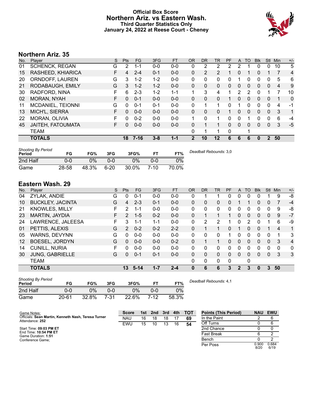## **Official Box Score Northern Ariz. vs Eastern Wash. Third Quarter Statistics Only January 24, 2022 at Reese Court - Cheney**



# **Northern Ariz. 35**

| No. | Plaver                | S | <b>Pts</b> | <b>FG</b> | 3FG     | <b>FT</b> | <b>OR</b> | <b>DR</b>      | TR           | PF       | A        | TO       | <b>Blk</b> | Stl          | Min | $+/-$          |
|-----|-----------------------|---|------------|-----------|---------|-----------|-----------|----------------|--------------|----------|----------|----------|------------|--------------|-----|----------------|
| 01  | <b>SCHENCK, REGAN</b> | G | 2          | 1-1       | $0-0$   | $0 - 0$   | 0         | 2              | 2            | 2        | 2        |          | 0          | 0            | 10  | 5              |
| 15  | RASHEED, KHIARICA     | F | 4          | $2 - 4$   | $0 - 1$ | $0 - 0$   | 0         | $\overline{2}$ | 2            |          | 0        |          | 0          |              | 7   | $\overline{4}$ |
| 20  | ORNDOFF, LAUREN       | G | 3          | $1 - 2$   | $1 - 2$ | $0 - 0$   | 0         | 0              | 0            | 0        |          | 0        | 0          | 0            | 5   | 6              |
| 21  | RODABAUGH, EMILY      | G | 3          | $1 - 2$   | $1-2$   | $0 - 0$   | 0         | $\Omega$       | $\mathbf{0}$ | $\Omega$ | $\Omega$ | $\Omega$ | 0          | $\Omega$     | 4   | 9              |
| 30  | RADFORD, NINA         | F | 6          | $2 - 3$   | 1-2     | $1 - 1$   |           | 3              | 4            |          | 2        | 2        | 0          |              |     | 10             |
| 02  | <b>MORAN, NYAH</b>    | F | 0          | $0 - 1$   | $0 - 0$ | $0 - 0$   | 0         | 0              | 0            |          | 0        | 0        | 0          | $\Omega$     | 1   | 0              |
| 11  | MCDANIEL, TEIONNI     | G | 0          | $0 - 1$   | $0 - 1$ | $0 - 0$   | 0         | 1              |              | 0        |          | 0        | 0          | 0            | 4   | -1             |
| 13  | MICH'L, SIERRA        | F | 0          | $0 - 0$   | $0 - 0$ | $0 - 0$   | $\Omega$  | 0              | 0            |          | 0        | 0        | $\Omega$   | 0            | 3   | $\mathbf{1}$   |
| 22  | <b>MORAN, OLIVIA</b>  | F | 0          | $0 - 2$   | $0 - 0$ | $0 - 0$   | 1         | 0              | 1            | 0        | $\Omega$ |          | 0          | 0            | 6   | -4             |
| 45  | JAITEH, FATOUMATA     | F | 0          | $0 - 0$   | $0 - 0$ | $0 - 0$   | 0         |                | 1            | $\Omega$ | $\Omega$ | 0        | 0          | $\Omega$     | 3   | $-5$           |
|     | <b>TEAM</b>           |   |            |           |         |           | 0         |                |              | $\Omega$ |          |          |            |              |     |                |
|     | <b>TOTALS</b>         |   | 18         | 7-16      | $3 - 8$ | $1 - 1$   | 2         | 10             | 12           | 6        | 6        | 6        | 0          | $\mathbf{2}$ | 50  |                |
|     |                       |   |            |           |         |           |           |                |              |          |          |          |            |              |     |                |

| <b>Shooting By Period</b><br>Period | FG    | FG%   | 3FG      | 3FG%  | ET   | FT%   | Deadball Rebounds: 3,0 |
|-------------------------------------|-------|-------|----------|-------|------|-------|------------------------|
| 2nd Half                            | 0-0   | 0%    | 0-0      | $0\%$ | ი-ი  | 0%    |                        |
| Game                                | 28-58 | 48.3% | $6 - 20$ | 30.0% | 7-10 | 70.0% |                        |

## **Eastern Wash. 29**

| No.               | Plaver                  | S  | <b>Pts</b>    | <b>FG</b> | 3FG     | <b>FT</b> | <b>OR</b>    | <b>DR</b> | TR. | PF | A              | TO       | <b>Blk</b> | <b>Stl</b>   | Min | $+/-$          |
|-------------------|-------------------------|----|---------------|-----------|---------|-----------|--------------|-----------|-----|----|----------------|----------|------------|--------------|-----|----------------|
| 04                | ZYLAK, ANDIE            | G  | 0             | $0 - 1$   | $0 - 0$ | $0 - 0$   | 0            |           |     | 0  | 0              | $\Omega$ | 0          |              | 9   | -8             |
| 10                | <b>BUCKLEY, JACINTA</b> | G  | 4             | $2 - 3$   | $0 - 1$ | $0 - 0$   | 0            | 0         | 0   | 0  |                |          | 0          | 0            | 7   | $-4$           |
| 21                | KNOWLES, MILLY          | F  | 2             | 1-1       | $0 - 0$ | $0-0$     | 0            | 0         | 0   | 0  | 0              | 0        | 0          | 0            | 9   | -8             |
| 23                | MARTIN, JAYDIA          | F. | 2             | $1 - 5$   | $0 - 2$ | $0 - 0$   | $\Omega$     |           |     |    | 0              | 0        | 0          | $\Omega$     | 9   | $-7$           |
| 24                | LAWRENCE, JALEESA       | F  | 3             | $1 - 1$   | $1 - 1$ | $0 - 0$   | 0            | 2         | 2   |    | $\Omega$       | 2        | 0          |              | 6   | -9             |
| 01                | PETTIS, ALEXIS          | G  | $\mathcal{P}$ | $0 - 2$   | $0 - 2$ | $2 - 2$   | $\Omega$     |           |     | 0  |                | $\Omega$ | 0          |              | 4   | 1              |
| 05                | WARNS, DEVYNN           | G  | 0             | $0 - 0$   | $0 - 0$ | $0-0$     | $\Omega$     | 0         | 0   |    | 0              | $\Omega$ | 0          | 0            | 1   | 3              |
| $12 \overline{ }$ | <b>BOESEL, JORDYN</b>   | G  | 0             | $0 - 0$   | $0 - 0$ | $0 - 2$   | $\Omega$     |           |     | 0  | $\mathbf{0}$   | $\Omega$ | 0          | $\mathbf{0}$ | 3   | $\overline{4}$ |
| 14                | <b>CUNILL, NURIA</b>    | F  | O             | $0 - 0$   | $0 - 0$ | $0 - 0$   | 0            | 0         | 0   | 0  | 0              | 0        | 0          | 0            | 0   | 0              |
| 30                | <b>JUNG, GABRIELLE</b>  | G  | 0             | $0 - 1$   | $0 - 1$ | $0 - 0$   | $\mathbf{0}$ | $\Omega$  | 0   | 0  | $\Omega$       | 0        | 0          | $\mathbf{0}$ | 3   | 3              |
|                   | <b>TEAM</b>             |    |               |           |         |           | 0            | 0         | 0   | 0  |                | 0        |            |              |     |                |
|                   | <b>TOTALS</b>           |    | 13            | $5-14$    | $1 - 7$ | $2 - 4$   | 0            | 6         | 6   | 3  | $\overline{2}$ | 3        | 0          | 3            | 50  |                |

| <b>Shooting By Period</b><br>Period | FG        | FG%   | 3FG  | 3FG%  |      | FT%   | Deadball Rebounds: 4,1 |
|-------------------------------------|-----------|-------|------|-------|------|-------|------------------------|
| 2nd Half                            | 0-0       | 0%    | 0-0  | 0%    | 0-0  | 0%    |                        |
| Game                                | $20 - 61$ | 32.8% | 7-31 | 22.6% | 7-12 | 58.3% |                        |

| Game Notes:                                                            | <b>Score</b> | 1st. | 2nd | 3rd | 4th | <b>TOT</b> | <b>Points (This Period)</b> | <b>NAU</b>    | <b>EWU</b>    |
|------------------------------------------------------------------------|--------------|------|-----|-----|-----|------------|-----------------------------|---------------|---------------|
| Officials: Sean Martin, Kenneth Nash, Teresa Turner<br>Attendance: 252 | NAU          | 16   | 18  | 18  |     | 69         | In the Paint                |               |               |
|                                                                        | <b>EWU</b>   | 15   | 10  | 13  | 16  | 54         | Off Turns                   |               |               |
| Start Time: 09:03 PM ET                                                |              |      |     |     |     |            | 2nd Chance                  |               |               |
| End Time: 10:54 PM ET<br>Game Duration: 1:51                           |              |      |     |     |     |            | Fast Break                  |               |               |
| Conference Game:                                                       |              |      |     |     |     |            | Bench                       |               |               |
|                                                                        |              |      |     |     |     |            | Per Poss                    | 0.900<br>8/20 | 0.684<br>6/19 |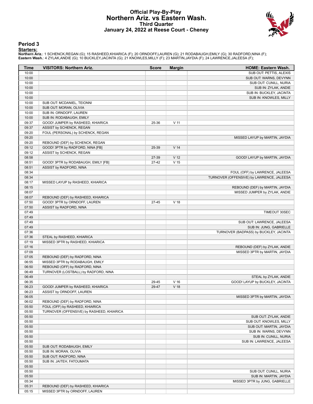#### **Official Play-By-Play Northern Ariz. vs Eastern Wash. Third Quarter January 24, 2022 at Reese Court - Cheney**



#### **Period 3**

#### **Starters:**

**Northern Ariz**.: 1 SCHENCK,REGAN (G); 15 RASHEED,KHIARICA (F); 20 ORNDOFF,LAUREN (G); 21 RODABAUGH,EMILY (G); 30 RADFORD,NINA (F);<br>**Eastern Wash.**: 4 ZYLAK,ANDIE (G); 10 BUCKLEY,JACINTA (G); 21 KNOWLES,MILLY (F); 23 MARTI

| Time  | <b>VISITORS: Northern Ariz.</b>           | <b>Score</b> | <b>Margin</b>   | <b>HOME: Eastern Wash.</b>                |
|-------|-------------------------------------------|--------------|-----------------|-------------------------------------------|
| 10:00 |                                           |              |                 | SUB OUT: PETTIS, ALEXIS                   |
| 10:00 |                                           |              |                 | SUB OUT: WARNS, DEVYNN                    |
| 10:00 |                                           |              |                 | SUB OUT: CUNILL, NURIA                    |
| 10:00 |                                           |              |                 | SUB IN: ZYLAK, ANDIE                      |
| 10:00 |                                           |              |                 | SUB IN: BUCKLEY, JACINTA                  |
| 10:00 |                                           |              |                 | SUB IN: KNOWLES, MILLY                    |
| 10:00 | SUB OUT: MCDANIEL, TEIONNI                |              |                 |                                           |
| 10:00 | SUB OUT: MORAN, OLIVIA                    |              |                 |                                           |
| 10:00 | SUB IN: ORNDOFF, LAUREN                   |              |                 |                                           |
| 10:00 | SUB IN: RODABAUGH, EMILY                  |              |                 |                                           |
| 09:37 | GOOD! JUMPER by RASHEED, KHIARICA         | 25-36        | V <sub>11</sub> |                                           |
| 09:37 | ASSIST by SCHENCK, REGAN                  |              |                 |                                           |
| 09:20 | FOUL (PERSONAL) by SCHENCK, REGAN         |              |                 |                                           |
| 09:20 |                                           |              |                 | MISSED LAYUP by MARTIN, JAYDIA            |
| 09:20 | REBOUND (DEF) by SCHENCK, REGAN           |              |                 |                                           |
| 09:12 | GOOD! 3PTR by RADFORD, NINA [FB]          | 25-39        | V <sub>14</sub> |                                           |
| 09:12 | ASSIST by SCHENCK, REGAN                  |              |                 |                                           |
| 08:58 |                                           | 27-39        | V <sub>12</sub> | GOOD! LAYUP by MARTIN, JAYDIA             |
| 08:51 | GOOD! 3PTR by RODABAUGH, EMILY [FB]       | $27 - 42$    | $V$ 15          |                                           |
| 08:51 | ASSIST by RADFORD, NINA                   |              |                 |                                           |
| 08:34 |                                           |              |                 | FOUL (OFF) by LAWRENCE, JALEESA           |
| 08:34 |                                           |              |                 | TURNOVER (OFFENSIVE) by LAWRENCE, JALEESA |
| 08:17 | MISSED LAYUP by RASHEED, KHIARICA         |              |                 |                                           |
| 08:15 |                                           |              |                 | REBOUND (DEF) by MARTIN, JAYDIA           |
| 08:07 |                                           |              |                 | MISSED JUMPER by ZYLAK, ANDIE             |
| 08:07 | REBOUND (DEF) by RASHEED, KHIARICA        |              |                 |                                           |
| 07:50 | GOOD! 3PTR by ORNDOFF, LAUREN             | $27 - 45$    | V <sub>18</sub> |                                           |
| 07:50 | ASSIST by RADFORD, NINA                   |              |                 |                                           |
| 07:49 |                                           |              |                 | TIMEOUT 30SEC                             |
| 07:49 |                                           |              |                 |                                           |
| 07:49 |                                           |              |                 | SUB OUT: LAWRENCE, JALEESA                |
| 07:49 |                                           |              |                 | SUB IN: JUNG, GABRIELLE                   |
| 07:36 |                                           |              |                 | TURNOVER (BADPASS) by BUCKLEY, JACINTA    |
| 07:36 | STEAL by RASHEED, KHIARICA                |              |                 |                                           |
| 07:19 | MISSED 3PTR by RASHEED, KHIARICA          |              |                 |                                           |
| 07:16 |                                           |              |                 | REBOUND (DEF) by ZYLAK, ANDIE             |
| 07:09 |                                           |              |                 | MISSED 3PTR by MARTIN, JAYDIA             |
| 07:05 | REBOUND (DEF) by RADFORD, NINA            |              |                 |                                           |
| 06:55 | MISSED 3PTR by RODABAUGH, EMILY           |              |                 |                                           |
| 06:50 | REBOUND (OFF) by RADFORD, NINA            |              |                 |                                           |
| 06:49 | TURNOVER (LOSTBALL) by RADFORD, NINA      |              |                 |                                           |
| 06:49 |                                           |              |                 | STEAL by ZYLAK, ANDIE                     |
| 06:35 |                                           | 29-45        | $V$ 16          | GOOD! LAYUP by BUCKLEY, JACINTA           |
| 06:23 | GOOD! JUMPER by RASHEED, KHIARICA         | 29-47        | V <sub>18</sub> |                                           |
| 06:23 | ASSIST by ORNDOFF, LAUREN                 |              |                 |                                           |
| 06:05 |                                           |              |                 | MISSED 3PTR by MARTIN, JAYDIA             |
| 06:02 | REBOUND (DEF) by RADFORD, NINA            |              |                 |                                           |
| 05:50 | FOUL (OFF) by RASHEED, KHIARICA           |              |                 |                                           |
| 05:50 | TURNOVER (OFFENSIVE) by RASHEED, KHIARICA |              |                 |                                           |
| 05:50 |                                           |              |                 | SUB OUT: ZYLAK, ANDIE                     |
| 05:50 |                                           |              |                 | SUB OUT: KNOWLES, MILLY                   |
| 05:50 |                                           |              |                 | SUB OUT: MARTIN, JAYDIA                   |
| 05:50 |                                           |              |                 | SUB IN: WARNS, DEVYNN                     |
| 05:50 |                                           |              |                 | SUB IN: CUNILL, NURIA                     |
| 05:50 |                                           |              |                 | SUB IN: LAWRENCE, JALEESA                 |
| 05:50 | SUB OUT: RODABAUGH, EMILY                 |              |                 |                                           |
| 05:50 | SUB IN: MORAN, OLIVIA                     |              |                 |                                           |
| 05:50 | SUB OUT: RADFORD, NINA                    |              |                 |                                           |
| 05:50 | SUB IN: JAITEH, FATOUMATA                 |              |                 |                                           |
| 05:50 |                                           |              |                 |                                           |
| 05:50 |                                           |              |                 | SUB OUT: CUNILL, NURIA                    |
| 05:50 |                                           |              |                 | SUB IN: MARTIN, JAYDIA                    |
| 05:34 |                                           |              |                 | MISSED 3PTR by JUNG, GABRIELLE            |
| 05:31 | REBOUND (DEF) by RASHEED, KHIARICA        |              |                 |                                           |
| 05:15 | MISSED 3PTR by ORNDOFF, LAUREN            |              |                 |                                           |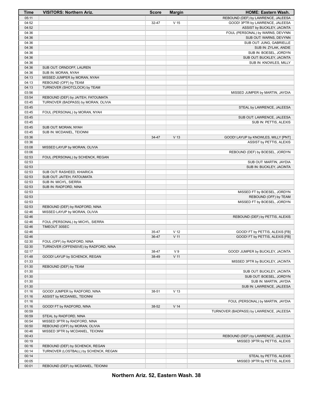| Time           | <b>VISITORS: Northern Ariz.</b>       | <b>Score</b> | <b>Margin</b>   | <b>HOME: Eastern Wash.</b>                          |
|----------------|---------------------------------------|--------------|-----------------|-----------------------------------------------------|
| 05:11          |                                       |              |                 | REBOUND (DEF) by LAWRENCE, JALEESA                  |
| 04:52          |                                       | 32-47        | V <sub>15</sub> | GOOD! 3PTR by LAWRENCE, JALEESA                     |
| 04:52          |                                       |              |                 | ASSIST by BUCKLEY, JACINTA                          |
| 04:36          |                                       |              |                 | FOUL (PERSONAL) by WARNS, DEVYNN                    |
| 04:36          |                                       |              |                 | SUB OUT: WARNS, DEVYNN                              |
| 04:36          |                                       |              |                 | SUB OUT: JUNG, GABRIELLE                            |
| 04:36          |                                       |              |                 | SUB IN: ZYLAK, ANDIE                                |
| 04:36          |                                       |              |                 | SUB IN: BOESEL, JORDYN                              |
| 04:36<br>04:36 |                                       |              |                 | SUB OUT: BUCKLEY, JACINTA<br>SUB IN: KNOWLES, MILLY |
| 04:36          | SUB OUT: ORNDOFF, LAUREN              |              |                 |                                                     |
| 04:36          | SUB IN: MORAN, NYAH                   |              |                 |                                                     |
| 04:13          | MISSED JUMPER by MORAN, NYAH          |              |                 |                                                     |
| 04:13          | REBOUND (OFF) by TEAM                 |              |                 |                                                     |
| 04:13          | TURNOVER (SHOTCLOCK) by TEAM          |              |                 |                                                     |
| 03:56          |                                       |              |                 | MISSED JUMPER by MARTIN, JAYDIA                     |
| 03:54          | REBOUND (DEF) by JAITEH, FATOUMATA    |              |                 |                                                     |
| 03:45          | TURNOVER (BADPASS) by MORAN, OLIVIA   |              |                 |                                                     |
| 03:45          |                                       |              |                 | STEAL by LAWRENCE, JALEESA                          |
| 03:45          | FOUL (PERSONAL) by MORAN, NYAH        |              |                 |                                                     |
| 03:45          |                                       |              |                 | SUB OUT: LAWRENCE, JALEESA                          |
| 03:45          |                                       |              |                 | SUB IN: PETTIS, ALEXIS                              |
| 03:45          | SUB OUT: MORAN, NYAH                  |              |                 |                                                     |
| 03:45          | SUB IN: MCDANIEL, TEIONNI             |              |                 |                                                     |
| 03:36          |                                       | 34-47        | V <sub>13</sub> | GOOD! LAYUP by KNOWLES, MILLY [PNT]                 |
| 03:36          |                                       |              |                 | ASSIST by PETTIS, ALEXIS                            |
| 03:08          | MISSED LAYUP by MORAN, OLIVIA         |              |                 |                                                     |
| 03:06<br>02:53 | FOUL (PERSONAL) by SCHENCK, REGAN     |              |                 | REBOUND (DEF) by BOESEL, JORDYN                     |
| 02:53          |                                       |              |                 | SUB OUT: MARTIN, JAYDIA                             |
| 02:53          |                                       |              |                 | SUB IN: BUCKLEY, JACINTA                            |
| 02:53          | SUB OUT: RASHEED, KHIARICA            |              |                 |                                                     |
| 02:53          | SUB OUT: JAITEH, FATOUMATA            |              |                 |                                                     |
| 02:53          | SUB IN: MICH'L, SIERRA                |              |                 |                                                     |
| 02:53          | SUB IN: RADFORD, NINA                 |              |                 |                                                     |
| 02:53          |                                       |              |                 | MISSED FT by BOESEL, JORDYN                         |
| 02:53          |                                       |              |                 | REBOUND (OFF) by TEAM                               |
| 02:53          |                                       |              |                 | MISSED FT by BOESEL, JORDYN                         |
| 02:53          | REBOUND (DEF) by RADFORD, NINA        |              |                 |                                                     |
| 02:46          | MISSED LAYUP by MORAN, OLIVIA         |              |                 |                                                     |
| 02:46          |                                       |              |                 | REBOUND (DEF) by PETTIS, ALEXIS                     |
| 02:46          | FOUL (PERSONAL) by MICH'L, SIERRA     |              |                 |                                                     |
| 02:46          | <b>TIMEOUT 30SEC</b>                  |              |                 |                                                     |
| 02:46          |                                       | 35-47        | V <sub>12</sub> | GOOD! FT by PETTIS, ALEXIS [FB]                     |
| 02:46          | FOUL (OFF) by RADFORD, NINA           | 36-47        | $V$ 11          | GOOD! FT by PETTIS, ALEXIS [FB]                     |
| 02:30<br>02:30 | TURNOVER (OFFENSIVE) by RADFORD, NINA |              |                 |                                                     |
| 02:17          |                                       | 38-47        | V <sub>9</sub>  | GOOD! JUMPER by BUCKLEY, JACINTA                    |
| 01:48          | GOOD! LAYUP by SCHENCK, REGAN         | 38-49        | $V$ 11          |                                                     |
| 01:33          |                                       |              |                 | MISSED 3PTR by BUCKLEY, JACINTA                     |
| 01:30          | REBOUND (DEF) by TEAM                 |              |                 |                                                     |
| 01:30          |                                       |              |                 | SUB OUT: BUCKLEY, JACINTA                           |
| 01:30          |                                       |              |                 | SUB OUT: BOESEL, JORDYN                             |
| 01:30          |                                       |              |                 | SUB IN: MARTIN, JAYDIA                              |
| 01:30          |                                       |              |                 | SUB IN: LAWRENCE, JALEESA                           |
| 01:16          | GOOD! JUMPER by RADFORD, NINA         | 38-51        | V <sub>13</sub> |                                                     |
| 01:16          | ASSIST by MCDANIEL, TEIONNI           |              |                 |                                                     |
| 01:16          |                                       |              |                 | FOUL (PERSONAL) by MARTIN, JAYDIA                   |
| 01:16          | GOOD! FT by RADFORD, NINA             | 38-52        | V <sub>14</sub> |                                                     |
| 00:59          |                                       |              |                 | TURNOVER (BADPASS) by LAWRENCE, JALEESA             |
| 00:59          | STEAL by RADFORD, NINA                |              |                 |                                                     |
| 00:54          | MISSED 3PTR by RADFORD, NINA          |              |                 |                                                     |
| 00:50          | REBOUND (OFF) by MORAN, OLIVIA        |              |                 |                                                     |
| 00:46          | MISSED 3PTR by MCDANIEL, TEIONNI      |              |                 |                                                     |
| 00:43          |                                       |              |                 | REBOUND (DEF) by LAWRENCE, JALEESA                  |
| 00:19          |                                       |              |                 | MISSED 3PTR by PETTIS, ALEXIS                       |
| 00:16          | REBOUND (DEF) by SCHENCK, REGAN       |              |                 |                                                     |
| 00:14          | TURNOVER (LOSTBALL) by SCHENCK, REGAN |              |                 |                                                     |
| 00:14          |                                       |              |                 | STEAL by PETTIS, ALEXIS                             |
| 00:05<br>00:01 | REBOUND (DEF) by MCDANIEL, TEIONNI    |              |                 | MISSED 3PTR by PETTIS, ALEXIS                       |
|                |                                       |              |                 |                                                     |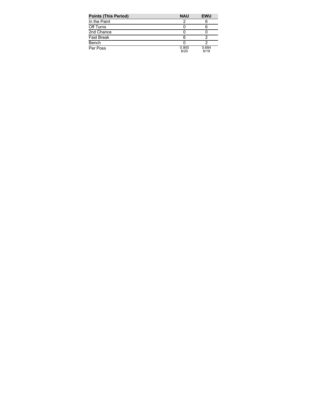| <b>Points (This Period)</b> | <b>NAU</b>    | <b>EWU</b>    |
|-----------------------------|---------------|---------------|
| In the Paint                |               |               |
| Off Turns                   |               |               |
| 2nd Chance                  |               |               |
| <b>Fast Break</b>           |               |               |
| Bench                       |               |               |
| Per Poss                    | 0.900<br>8/20 | 0.684<br>6/19 |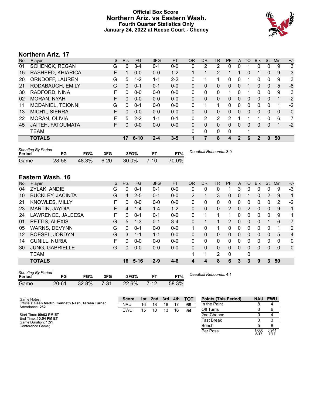## **Official Box Score Northern Ariz. vs Eastern Wash. Fourth Quarter Statistics Only January 24, 2022 at Reese Court - Cheney**



# **Northern Ariz. 17**

| No. | Player                | S | Pts      | <b>FG</b> | 3FG     | <b>FT</b> | 0R           | <b>DR</b>    | TR | PF | A              | TO | <b>B</b> lk | <b>Stl</b> | Min      | $+/-$ |
|-----|-----------------------|---|----------|-----------|---------|-----------|--------------|--------------|----|----|----------------|----|-------------|------------|----------|-------|
| 01  | <b>SCHENCK, REGAN</b> | G | 6        | $3 - 4$   | $0 - 1$ | $0-0$     | 0            | 2            | 2  | 0  |                |    | 0           | 0          | 9        | 3     |
| 15  | RASHEED, KHIARICA     | F |          | $0 - 0$   | $0 - 0$ | $1 - 2$   | $\mathbf 1$  |              | 2  |    |                | 0  | 1           | 0          | 9        | 3     |
| 20  | ORNDOFF, LAUREN       | G | 5        | $1 - 2$   | $1 - 1$ | $2 - 2$   | $\Omega$     |              | 1  | 0  | 0              |    | 0           | 0          | 9        | 3     |
| 21  | RODABAUGH, EMILY      | G | $\Omega$ | $0 - 1$   | $0 - 1$ | $0 - 0$   | $\Omega$     | 0            | 0  | 0  | $\Omega$       |    | 0           | $\Omega$   | 5        | -8    |
| 30  | RADFORD, NINA         | F | 0        | $0 - 0$   | $0 - 0$ | $0 - 0$   | $\mathbf{0}$ | 0            | 0  | 1  | 0              |    | 0           | 0          | 9        | 3     |
| 02  | <b>MORAN, NYAH</b>    | F | 0        | $0 - 0$   | $0 - 0$ | $0 - 0$   | $\Omega$     | 0            | 0  | 0  | $\Omega$       | 0  | 0           | 0          | 1        | $-2$  |
| 11  | MCDANIEL, TEIONNI     | G | 0        | $0 - 1$   | $0 - 0$ | $0 - 0$   | $\Omega$     | 1            | 1  | 0  | $\Omega$       | 0  | 0           | $\Omega$   | 1        | $-2$  |
| 13  | MICH'L, SIERRA        | F | $\Omega$ | $0 - 0$   | $0 - 0$ | $0 - 0$   | $\Omega$     | $\Omega$     | 0  | 0  | $\Omega$       | 0  | 0           | $\Omega$   | $\Omega$ | 0     |
| 22  | <b>MORAN, OLIVIA</b>  | F | 5        | $2 - 2$   | 1-1     | $0 - 1$   | 0            | 2            | 2  | 2  |                |    |             | 0          | 6        | 7     |
| 45  | JAITEH, FATOUMATA     | F | 0        | $0 - 0$   | $0 - 0$ | $0 - 0$   | $\Omega$     | 0            | 0  | 0  | $\Omega$       | 0  | 0           | 0          | 1        | $-2$  |
|     | <b>TEAM</b>           |   |          |           |         |           | $\Omega$     | $\mathbf{0}$ | 0  | 0  |                | 1  |             |            |          |       |
|     | <b>TOTALS</b>         |   | 17       | $6 - 10$  | $2 - 4$ | $3 - 5$   |              | 7            | 8  | 4  | $\overline{2}$ | 6  | 2           | $\Omega$   | 50       |       |
|     |                       |   |          |           |         |           |              |              |    |    |                |    |             |            |          |       |

| <b>Shooting By Period</b><br>Period | FG    | FG%   | 3FG      | 3FG%     | ET     | FT%   | Deadball Rebounds: 3,0 |
|-------------------------------------|-------|-------|----------|----------|--------|-------|------------------------|
| Game                                | 28-58 | 48.3% | $6 - 20$ | $30.0\%$ | $7-10$ | 70.0% |                        |

## **Eastern Wash. 16**

| No. | Plaver                  | S | <b>Pts</b> | <b>FG</b> | 3FG     | <b>FT</b> | <b>OR</b>    | <b>DR</b> | TR             | PF            | A            | TO.      | <b>Blk</b> | <b>Stl</b>   | Min          | $+/-$          |
|-----|-------------------------|---|------------|-----------|---------|-----------|--------------|-----------|----------------|---------------|--------------|----------|------------|--------------|--------------|----------------|
| 04  | ZYLAK, ANDIE            | G | $\Omega$   | $0 - 1$   | $0 - 1$ | $0 - 0$   | 0            | 0         | 0              |               | 3            | 0        | 0          | 0            | 9            | $-3$           |
| 10  | <b>BUCKLEY, JACINTA</b> | G | 4          | $2 - 5$   | $0 - 1$ | $0 - 0$   | 2            |           | 3              | 0             | 0            |          | 0          | 2            | 9            | 1              |
| 21  | <b>KNOWLES, MILLY</b>   | F | 0          | $0-0$     | $0 - 0$ | $0 - 0$   | $\Omega$     | 0         | 0              | 0             | 0            | 0        | 0          | 0            | 2            | $-2$           |
| 23  | MARTIN, JAYDIA          | F | 4          | $1 - 4$   | $1 - 4$ | $1 - 2$   | $\mathbf{0}$ | $\Omega$  | 0              | $\mathcal{P}$ | $\mathbf{0}$ | 2        | 0          | $\mathbf{0}$ | 9            | $-1$           |
| 24  | LAWRENCE, JALEESA       | F | 0          | $0 - 1$   | $0 - 1$ | $0-0$     | 0            |           |                |               | 0            | 0        | 0          | 0            | 9            | 1              |
| 01  | PETTIS, ALEXIS          | G | 5          | $1 - 3$   | $0 - 1$ | $3 - 4$   | $\Omega$     |           |                | $\mathcal{P}$ | $\Omega$     | 0        | 0          |              | 6            | $-7$           |
| 05  | <b>WARNS, DEVYNN</b>    | G | 0          | $0 - 1$   | $0 - 0$ | $0 - 0$   | 1            | 0         | 1              | 0             | $\Omega$     | $\Omega$ | 0          | 0            | 1            | 2              |
| 12  | <b>BOESEL, JORDYN</b>   | G | 3          | $1 - 1$   | $1 - 1$ | $0 - 0$   | $\Omega$     | $\Omega$  | 0              | 0             | $\Omega$     | $\Omega$ | 0          | $\Omega$     | 5            | $\overline{4}$ |
| 14  | <b>CUNILL, NURIA</b>    | F | 0          | $0 - 0$   | $0 - 0$ | $0 - 0$   | 0            | 0         | 0              | 0             | 0            | 0        | 0          | 0            | 0            | 0              |
| 30  | <b>JUNG, GABRIELLE</b>  | G | 0          | $0 - 0$   | $0 - 0$ | $0 - 0$   | $\Omega$     | 0         | 0              | 0             | $\Omega$     | $\Omega$ | 0          | $\Omega$     | $\mathbf{0}$ | 0              |
|     | <b>TEAM</b>             |   |            |           |         |           | 1            |           | $\overline{2}$ | 0             |              | 0        |            |              |              |                |
|     | <b>TOTALS</b>           |   | 16         | $5 - 16$  | $2 - 9$ | $4 - 6$   | 4            | 4         | 8              | 6             | 3            | 3        | 0          | 3            | 50           |                |
|     |                         |   |            |           |         |           |              |           |                |               |              |          |            |              |              |                |

| <b>Shooting By Period</b><br>Period | FG        | FG%   | 3FG      | 3FG%  | FТ       | FT%   |
|-------------------------------------|-----------|-------|----------|-------|----------|-------|
| Game                                | $20 - 61$ | 32.8% | $7 - 31$ | 22.6% | $7 - 12$ | 58.3% |

*Deadball Rebounds:* 4,1

| Game Notes:                                                            | <b>Score</b> |    | 1st 2nd | $\sim$ 3rd $\sim$ | 4th | тот | <b>Points (This Period)</b> | <b>NAU</b>   | <b>EWU</b>    |
|------------------------------------------------------------------------|--------------|----|---------|-------------------|-----|-----|-----------------------------|--------------|---------------|
| Officials: Sean Martin, Kenneth Nash, Teresa Turner<br>Attendance: 252 | <b>NAU</b>   | 16 | 18      | 18                |     | 69  | In the Paint                |              |               |
|                                                                        | EWU          | 15 | 10      | 13                | 16  | 54  | Off Turns                   |              |               |
| Start Time: 09:03 PM ET                                                |              |    |         |                   |     |     | 2nd Chance                  |              |               |
| End Time: 10:54 PM ET<br>Game Duration: 1:51                           |              |    |         |                   |     |     | <b>Fast Break</b>           |              |               |
| Conference Game;                                                       |              |    |         |                   |     |     | Bench                       |              |               |
|                                                                        |              |    |         |                   |     |     | Per Poss                    | .000<br>8/17 | 0.941<br>7/17 |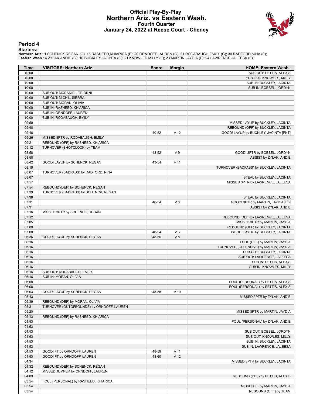#### **Official Play-By-Play Northern Ariz. vs Eastern Wash. Fourth Quarter January 24, 2022 at Reese Court - Cheney**



#### **Period 4**

#### **Starters:**

**Northern Ariz**.: 1 SCHENCK,REGAN (G); 15 RASHEED,KHIARICA (F); 20 ORNDOFF,LAUREN (G); 21 RODABAUGH,EMILY (G); 30 RADFORD,NINA (F);<br>**Eastern Wash.**: 4 ZYLAK,ANDIE (G); 10 BUCKLEY,JACINTA (G); 21 KNOWLES,MILLY (F); 23 MARTI

| <b>Time</b>    | <b>VISITORS: Northern Ariz.</b>           | <b>Score</b> | <b>Margin</b>   | <b>HOME: Eastern Wash.</b>                                     |
|----------------|-------------------------------------------|--------------|-----------------|----------------------------------------------------------------|
| 10:00          |                                           |              |                 | SUB OUT: PETTIS, ALEXIS                                        |
| 10:00          |                                           |              |                 | SUB OUT: KNOWLES, MILLY                                        |
| 10:00          |                                           |              |                 | SUB IN: BUCKLEY, JACINTA                                       |
| 10:00          |                                           |              |                 | SUB IN: BOESEL, JORDYN                                         |
| 10:00          | SUB OUT: MCDANIEL, TEIONNI                |              |                 |                                                                |
| 10:00          | SUB OUT: MICH'L, SIERRA                   |              |                 |                                                                |
| 10:00          | SUB OUT: MORAN, OLIVIA                    |              |                 |                                                                |
| 10:00          | SUB IN: RASHEED, KHIARICA                 |              |                 |                                                                |
| 10:00          | SUB IN: ORNDOFF, LAUREN                   |              |                 |                                                                |
| 10:00          | SUB IN: RODABAUGH, EMILY                  |              |                 |                                                                |
| 09:50          |                                           |              |                 | MISSED LAYUP by BUCKLEY, JACINTA                               |
| 09:48          |                                           |              |                 | REBOUND (OFF) by BUCKLEY, JACINTA                              |
| 09:46          |                                           | 40-52        | V <sub>12</sub> | GOOD! LAYUP by BUCKLEY, JACINTA [PNT]                          |
| 09:26          | MISSED 3PTR by RODABAUGH, EMILY           |              |                 |                                                                |
| 09:21          | REBOUND (OFF) by RASHEED, KHIARICA        |              |                 |                                                                |
| 09:12          | TURNOVER (SHOTCLOCK) by TEAM              |              |                 |                                                                |
| 08:58          |                                           | 43-52        | V <sub>9</sub>  | GOOD! 3PTR by BOESEL, JORDYN                                   |
| 08:58          |                                           |              |                 | ASSIST by ZYLAK, ANDIE                                         |
| 08:42          | GOOD! LAYUP by SCHENCK, REGAN             | 43-54        | V <sub>11</sub> |                                                                |
| 08:19          |                                           |              |                 | TURNOVER (BADPASS) by BUCKLEY, JACINTA                         |
| 08:07          | TURNOVER (BADPASS) by RADFORD, NINA       |              |                 |                                                                |
| 08:07          |                                           |              |                 | STEAL by BUCKLEY, JACINTA                                      |
| 07:57          |                                           |              |                 | MISSED 3PTR by LAWRENCE, JALEESA                               |
| 07:54          | REBOUND (DEF) by SCHENCK, REGAN           |              |                 |                                                                |
| 07:39<br>07:39 | TURNOVER (BADPASS) by SCHENCK, REGAN      |              |                 |                                                                |
| 07:31          |                                           | 46-54        | V <sub>8</sub>  | STEAL by BUCKLEY, JACINTA<br>GOOD! 3PTR by MARTIN, JAYDIA [FB] |
| 07:31          |                                           |              |                 | ASSIST by ZYLAK, ANDIE                                         |
| 07:16          |                                           |              |                 |                                                                |
| 07:12          | MISSED 3PTR by SCHENCK, REGAN             |              |                 | REBOUND (DEF) by LAWRENCE, JALEESA                             |
| 07:05          |                                           |              |                 | MISSED 3PTR by MARTIN, JAYDIA                                  |
| 07:00          |                                           |              |                 | REBOUND (OFF) by BUCKLEY, JACINTA                              |
| 07:00          |                                           | 48-54        | $V_6$           | GOOD! LAYUP by BUCKLEY, JACINTA                                |
| 06:36          | GOOD! LAYUP by SCHENCK, REGAN             | 48-56        | V8              |                                                                |
| 06:16          |                                           |              |                 | FOUL (OFF) by MARTIN, JAYDIA                                   |
| 06:16          |                                           |              |                 | TURNOVER (OFFENSIVE) by MARTIN, JAYDIA                         |
| 06:16          |                                           |              |                 | SUB OUT: BUCKLEY, JACINTA                                      |
| 06:16          |                                           |              |                 | SUB OUT: LAWRENCE, JALEESA                                     |
| 06:16          |                                           |              |                 | SUB IN: PETTIS, ALEXIS                                         |
| 06:16          |                                           |              |                 | SUB IN: KNOWLES, MILLY                                         |
| 06:16          | SUB OUT: RODABAUGH, EMILY                 |              |                 |                                                                |
| 06:16          | SUB IN: MORAN, OLIVIA                     |              |                 |                                                                |
| 06:08          |                                           |              |                 | FOUL (PERSONAL) by PETTIS, ALEXIS                              |
| 06:08          |                                           |              |                 | FOUL (PERSONAL) by PETTIS, ALEXIS                              |
| 06:03          | GOOD! LAYUP by SCHENCK, REGAN             | 48-58        | $V$ 10          |                                                                |
| 05:43          |                                           |              |                 | MISSED 3PTR by ZYLAK, ANDIE                                    |
| 05:39          | REBOUND (DEF) by MORAN, OLIVIA            |              |                 |                                                                |
| 05:31          | TURNOVER (OUTOFBOUNDS) by ORNDOFF, LAUREN |              |                 |                                                                |
| 05:20          |                                           |              |                 | MISSED 3PTR by MARTIN, JAYDIA                                  |
| 05:13          | REBOUND (DEF) by RASHEED, KHIARICA        |              |                 |                                                                |
| 04:53          |                                           |              |                 | FOUL (PERSONAL) by ZYLAK, ANDIE                                |
| 04:53          |                                           |              |                 |                                                                |
| 04:53          |                                           |              |                 | SUB OUT: BOESEL, JORDYN                                        |
| 04:53          |                                           |              |                 | SUB OUT: KNOWLES, MILLY                                        |
| 04:53          |                                           |              |                 | SUB IN: BUCKLEY, JACINTA                                       |
| 04:53          |                                           |              |                 | SUB IN: LAWRENCE, JALEESA                                      |
| 04:53          | GOOD! FT by ORNDOFF, LAUREN               | 48-59        | $V$ 11          |                                                                |
| 04:53          | GOOD! FT by ORNDOFF, LAUREN               | 48-60        | V <sub>12</sub> |                                                                |
| 04:34          |                                           |              |                 | MISSED 3PTR by BUCKLEY, JACINTA                                |
| 04:32          | REBOUND (DEF) by SCHENCK, REGAN           |              |                 |                                                                |
| 04:12          | MISSED JUMPER by ORNDOFF, LAUREN          |              |                 |                                                                |
| 04:09          |                                           |              |                 | REBOUND (DEF) by PETTIS, ALEXIS                                |
| 03:54          | FOUL (PERSONAL) by RASHEED, KHIARICA      |              |                 |                                                                |
| 03:54          |                                           |              |                 | MISSED FT by MARTIN, JAYDIA                                    |
| 03:54          |                                           |              |                 | REBOUND (OFF) by TEAM                                          |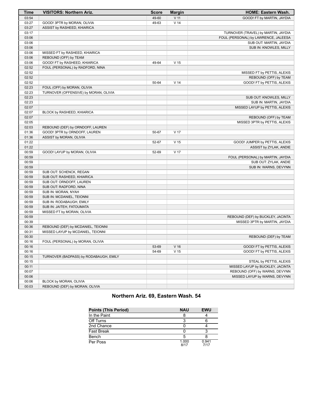| <b>Time</b>    | <b>VISITORS: Northern Ariz.</b>        | <b>Score</b>   | <b>Margin</b>   | HOME: Eastern Wash.                                      |
|----------------|----------------------------------------|----------------|-----------------|----------------------------------------------------------|
| 03:54          |                                        | 49-60          | $V$ 11          | GOOD! FT by MARTIN, JAYDIA                               |
| 03:27          | GOOD! 3PTR by MORAN, OLIVIA            | 49-63          | V <sub>14</sub> |                                                          |
| 03:27          | ASSIST by RASHEED, KHIARICA            |                |                 |                                                          |
| 03:17          |                                        |                |                 | TURNOVER (TRAVEL) by MARTIN, JAYDIA                      |
| 03:06          |                                        |                |                 | FOUL (PERSONAL) by LAWRENCE, JALEESA                     |
| 03:06          |                                        |                |                 | SUB OUT: MARTIN, JAYDIA                                  |
| 03:06          |                                        |                |                 | SUB IN: KNOWLES, MILLY                                   |
| 03:06          | MISSED FT by RASHEED, KHIARICA         |                |                 |                                                          |
| 03:06          | REBOUND (OFF) by TEAM                  |                |                 |                                                          |
| 03:06          | GOOD! FT by RASHEED, KHIARICA          | 49-64          | V <sub>15</sub> |                                                          |
| 02:52          | FOUL (PERSONAL) by RADFORD, NINA       |                |                 |                                                          |
| 02:52          |                                        |                |                 | MISSED FT by PETTIS, ALEXIS                              |
| 02:52          |                                        |                |                 | REBOUND (OFF) by TEAM                                    |
| 02:52          |                                        | 50-64          | V <sub>14</sub> | GOOD! FT by PETTIS, ALEXIS                               |
| 02:23          | FOUL (OFF) by MORAN, OLIVIA            |                |                 |                                                          |
| 02:23          | TURNOVER (OFFENSIVE) by MORAN, OLIVIA  |                |                 |                                                          |
| 02:23          |                                        |                |                 | SUB OUT: KNOWLES, MILLY                                  |
| 02:23          |                                        |                |                 | SUB IN: MARTIN, JAYDIA                                   |
| 02:07          |                                        |                |                 | MISSED LAYUP by PETTIS, ALEXIS                           |
| 02:07          | BLOCK by RASHEED, KHIARICA             |                |                 |                                                          |
| 02:07          |                                        |                |                 | REBOUND (OFF) by TEAM                                    |
| 02:05          |                                        |                |                 | MISSED 3PTR by PETTIS, ALEXIS                            |
| 02:03          | REBOUND (DEF) by ORNDOFF, LAUREN       |                |                 |                                                          |
| 01:36          | GOOD! 3PTR by ORNDOFF, LAUREN          | 50-67          | V 17            |                                                          |
| 01:36          | ASSIST by MORAN, OLIVIA                |                |                 |                                                          |
| 01:22          |                                        | 52-67          | V <sub>15</sub> | GOOD! JUMPER by PETTIS, ALEXIS                           |
| 01:22          |                                        |                |                 | ASSIST by ZYLAK, ANDIE                                   |
| 00:59          | GOOD! LAYUP by MORAN, OLIVIA           | 52-69          | V <sub>17</sub> |                                                          |
| 00:59          |                                        |                |                 | FOUL (PERSONAL) by MARTIN, JAYDIA                        |
| 00:59          |                                        |                |                 | SUB OUT: ZYLAK, ANDIE                                    |
| 00:59          |                                        |                |                 | SUB IN: WARNS, DEVYNN                                    |
| 00:59          | SUB OUT: SCHENCK, REGAN                |                |                 |                                                          |
| 00:59          | SUB OUT: RASHEED, KHIARICA             |                |                 |                                                          |
| 00:59          | SUB OUT: ORNDOFF, LAUREN               |                |                 |                                                          |
| 00:59          | SUB OUT: RADFORD, NINA                 |                |                 |                                                          |
| 00:59          | SUB IN: MORAN, NYAH                    |                |                 |                                                          |
| 00:59          | SUB IN: MCDANIEL, TEIONNI              |                |                 |                                                          |
| 00:59          | SUB IN: RODABAUGH, EMILY               |                |                 |                                                          |
| 00:59          | SUB IN: JAITEH, FATOUMATA              |                |                 |                                                          |
| 00:59          | MISSED FT by MORAN, OLIVIA             |                |                 |                                                          |
| 00:59          |                                        |                |                 | REBOUND (DEF) by BUCKLEY, JACINTA                        |
| 00:39          |                                        |                |                 | MISSED 3PTR by MARTIN, JAYDIA                            |
| 00:36          | REBOUND (DEF) by MCDANIEL, TEIONNI     |                |                 |                                                          |
| 00:31          | MISSED LAYUP by MCDANIEL, TEIONNI      |                |                 |                                                          |
| 00:30          |                                        |                |                 |                                                          |
|                |                                        |                |                 | REBOUND (DEF) by TEAM                                    |
| 00:16<br>00:16 | FOUL (PERSONAL) by MORAN, OLIVIA       |                | $V$ 16          |                                                          |
| 00:16          |                                        | 53-69<br>54-69 | V <sub>15</sub> | GOOD! FT by PETTIS, ALEXIS<br>GOOD! FT by PETTIS, ALEXIS |
|                |                                        |                |                 |                                                          |
| 00:15          | TURNOVER (BADPASS) by RODABAUGH, EMILY |                |                 |                                                          |
| 00:15          |                                        |                |                 | STEAL by PETTIS, ALEXIS                                  |
| 00:11          |                                        |                |                 | MISSED LAYUP by BUCKLEY, JACINTA                         |
| 00:07          |                                        |                |                 | REBOUND (OFF) by WARNS, DEVYNN                           |
| 00:06          |                                        |                |                 | MISSED LAYUP by WARNS, DEVYNN                            |
| 00:06          | BLOCK by MORAN, OLIVIA                 |                |                 |                                                          |
| 00:03          | REBOUND (DEF) by MORAN, OLIVIA         |                |                 |                                                          |

# **Northern Ariz. 69, Eastern Wash. 54**

| Points (This Period) | <b>NAU</b>    | <b>EWU</b>    |
|----------------------|---------------|---------------|
| In the Paint         |               |               |
| Off Turns            |               |               |
| 2nd Chance           |               |               |
| Fast Break           |               |               |
| Bench                |               |               |
| Per Poss             | 1.000<br>8/17 | 0.941<br>7/17 |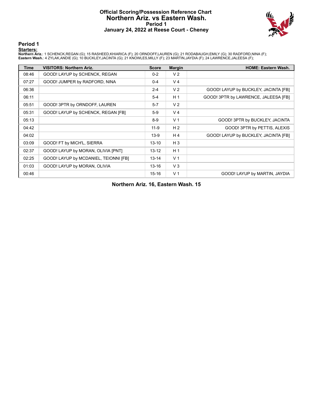#### **Official Scoring/Possession Reference Chart Northern Ariz. vs Eastern Wash. Period 1 January 24, 2022 at Reese Court - Cheney**



**Period 1**

#### **Starters:**

**Northern Ariz**.: 1 SCHENCK,REGAN (G); 15 RASHEED,KHIARICA (F); 20 ORNDOFF,LAUREN (G); 21 RODABAUGH,EMILY (G); 30 RADFORD,NINA (F);<br>**Eastern Wash.**: 4 ZYLAK,ANDIE (G); 10 BUCKLEY,JACINTA (G); 21 KNOWLES,MILLY (F); 23 MARTI

| <b>Time</b> | <b>VISITORS: Northern Ariz.</b>       | <b>Score</b> | <b>Margin</b>  | <b>HOME: Eastern Wash.</b>           |
|-------------|---------------------------------------|--------------|----------------|--------------------------------------|
| 08:46       | GOOD! LAYUP by SCHENCK, REGAN         | $0 - 2$      | V <sub>2</sub> |                                      |
| 07:27       | GOOD! JUMPER by RADFORD, NINA         | $0 - 4$      | V <sub>4</sub> |                                      |
| 06:36       |                                       | $2 - 4$      | V <sub>2</sub> | GOOD! LAYUP by BUCKLEY, JACINTA [FB] |
| 06:11       |                                       | $5-4$        | H <sub>1</sub> | GOOD! 3PTR by LAWRENCE, JALEESA [FB] |
| 05:51       | GOOD! 3PTR by ORNDOFF, LAUREN         | $5 - 7$      | V <sub>2</sub> |                                      |
| 05:31       | GOOD! LAYUP by SCHENCK, REGAN [FB]    | $5-9$        | V <sub>4</sub> |                                      |
| 05:13       |                                       | $8-9$        | V <sub>1</sub> | GOOD! 3PTR by BUCKLEY, JACINTA       |
| 04:42       |                                       | $11-9$       | H <sub>2</sub> | GOOD! 3PTR by PETTIS, ALEXIS         |
| 04:02       |                                       | $13-9$       | H 4            | GOOD! LAYUP by BUCKLEY, JACINTA [FB] |
| 03:09       | GOOD! FT by MICH'L, SIERRA            | $13 - 10$    | $H_3$          |                                      |
| 02:37       | GOOD! LAYUP by MORAN, OLIVIA [PNT]    | $13 - 12$    | H <sub>1</sub> |                                      |
| 02:25       | GOOD! LAYUP by MCDANIEL, TEIONNI [FB] | $13 - 14$    | V <sub>1</sub> |                                      |
| 01:03       | GOOD! LAYUP by MORAN, OLIVIA          | $13 - 16$    | $V_3$          |                                      |
| 00:46       |                                       | $15 - 16$    | V <sub>1</sub> | GOOD! LAYUP by MARTIN, JAYDIA        |

**Northern Ariz. 16, Eastern Wash. 15**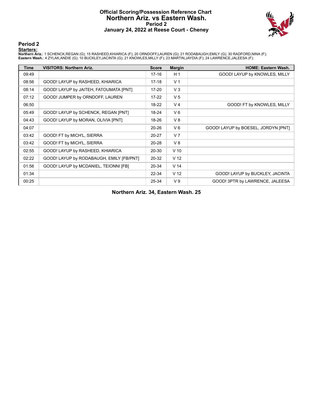#### **Official Scoring/Possession Reference Chart Northern Ariz. vs Eastern Wash. Period 2 January 24, 2022 at Reese Court - Cheney**



**Period 2**

#### **Starters:**

**Northern Ariz**.: 1 SCHENCK,REGAN (G); 15 RASHEED,KHIARICA (F); 20 ORNDOFF,LAUREN (G); 21 RODABAUGH,EMILY (G); 30 RADFORD,NINA (F);<br>**Eastern Wash.**: 4 ZYLAK,ANDIE (G); 10 BUCKLEY,JACINTA (G); 21 KNOWLES,MILLY (F); 23 MARTI

| Time  | <b>VISITORS: Northern Ariz.</b>          | <b>Score</b> | <b>Margin</b>   | <b>HOME: Eastern Wash.</b>          |
|-------|------------------------------------------|--------------|-----------------|-------------------------------------|
| 09:49 |                                          | $17-16$      | H <sub>1</sub>  | GOOD! LAYUP by KNOWLES, MILLY       |
| 08:56 | GOOD! LAYUP by RASHEED, KHIARICA         | $17-18$      | V <sub>1</sub>  |                                     |
| 08:14 | GOOD! LAYUP by JAITEH, FATOUMATA [PNT]   | $17 - 20$    | $V_3$           |                                     |
| 07:12 | GOOD! JUMPER by ORNDOFF, LAUREN          | $17 - 22$    | V <sub>5</sub>  |                                     |
| 06:50 |                                          | 18-22        | V <sub>4</sub>  | GOOD! FT by KNOWLES, MILLY          |
| 05:49 | GOOD! LAYUP by SCHENCK, REGAN [PNT]      | 18-24        | $V_6$           |                                     |
| 04:43 | GOOD! LAYUP by MORAN, OLIVIA [PNT]       | 18-26        | V8              |                                     |
| 04:07 |                                          | $20 - 26$    | $V_6$           | GOOD! LAYUP by BOESEL, JORDYN [PNT] |
| 03:42 | GOOD! FT by MICH'L, SIERRA               | $20 - 27$    | V <sub>7</sub>  |                                     |
| 03:42 | GOOD! FT by MICH'L, SIERRA               | 20-28        | V8              |                                     |
| 02:55 | GOOD! LAYUP by RASHEED, KHIARICA         | $20 - 30$    | $V$ 10          |                                     |
| 02:22 | GOOD! LAYUP by RODABAUGH, EMILY [FB/PNT] | 20-32        | V <sub>12</sub> |                                     |
| 01:56 | GOOD! LAYUP by MCDANIEL, TEIONNI [FB]    | 20-34        | V <sub>14</sub> |                                     |
| 01:34 |                                          | 22-34        | V <sub>12</sub> | GOOD! LAYUP by BUCKLEY, JACINTA     |
| 00:25 |                                          | 25-34        | V <sub>9</sub>  | GOOD! 3PTR by LAWRENCE, JALEESA     |

**Northern Ariz. 34, Eastern Wash. 25**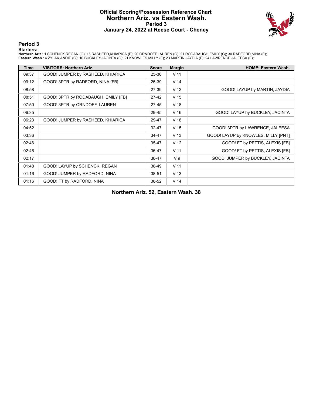#### **Official Scoring/Possession Reference Chart Northern Ariz. vs Eastern Wash. Period 3 January 24, 2022 at Reese Court - Cheney**



**Period 3**

#### **Starters:**

**Northern Ariz**.: 1 SCHENCK,REGAN (G); 15 RASHEED,KHIARICA (F); 20 ORNDOFF,LAUREN (G); 21 RODABAUGH,EMILY (G); 30 RADFORD,NINA (F);<br>**Eastern Wash.**: 4 ZYLAK,ANDIE (G); 10 BUCKLEY,JACINTA (G); 21 KNOWLES,MILLY (F); 23 MARTI

| <b>Time</b> | <b>VISITORS: Northern Ariz.</b>     | <b>Score</b> | <b>Margin</b>   | <b>HOME: Eastern Wash.</b>          |
|-------------|-------------------------------------|--------------|-----------------|-------------------------------------|
| 09:37       | GOOD! JUMPER by RASHEED, KHIARICA   | 25-36        | V <sub>11</sub> |                                     |
| 09:12       | GOOD! 3PTR by RADFORD, NINA [FB]    | 25-39        | V <sub>14</sub> |                                     |
| 08:58       |                                     | 27-39        | V <sub>12</sub> | GOOD! LAYUP by MARTIN, JAYDIA       |
| 08:51       | GOOD! 3PTR by RODABAUGH, EMILY [FB] | $27-42$      | V <sub>15</sub> |                                     |
| 07:50       | GOOD! 3PTR by ORNDOFF, LAUREN       | $27 - 45$    | V <sub>18</sub> |                                     |
| 06:35       |                                     | 29-45        | V <sub>16</sub> | GOOD! LAYUP by BUCKLEY, JACINTA     |
| 06:23       | GOOD! JUMPER by RASHEED, KHIARICA   | 29-47        | V <sub>18</sub> |                                     |
| 04:52       |                                     | $32 - 47$    | V <sub>15</sub> | GOOD! 3PTR by LAWRENCE, JALEESA     |
| 03:36       |                                     | 34-47        | V <sub>13</sub> | GOOD! LAYUP by KNOWLES, MILLY [PNT] |
| 02:46       |                                     | 35-47        | V <sub>12</sub> | GOOD! FT by PETTIS, ALEXIS [FB]     |
| 02:46       |                                     | 36-47        | V <sub>11</sub> | GOOD! FT by PETTIS, ALEXIS [FB]     |
| 02:17       |                                     | 38-47        | V <sub>9</sub>  | GOOD! JUMPER by BUCKLEY, JACINTA    |
| 01:48       | GOOD! LAYUP by SCHENCK, REGAN       | 38-49        | V <sub>11</sub> |                                     |
| 01:16       | GOOD! JUMPER by RADFORD, NINA       | 38-51        | V <sub>13</sub> |                                     |
| 01:16       | GOOD! FT by RADFORD, NINA           | 38-52        | V <sub>14</sub> |                                     |

**Northern Ariz. 52, Eastern Wash. 38**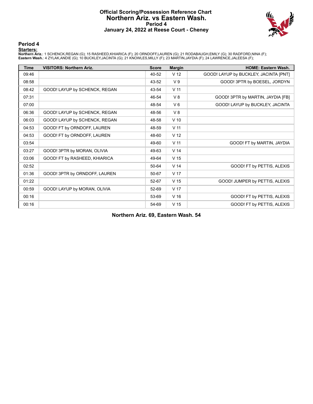#### **Official Scoring/Possession Reference Chart Northern Ariz. vs Eastern Wash. Period 4 January 24, 2022 at Reese Court - Cheney**



#### **Period 4**

#### **Starters:**

**Northern Ariz**.: 1 SCHENCK,REGAN (G); 15 RASHEED,KHIARICA (F); 20 ORNDOFF,LAUREN (G); 21 RODABAUGH,EMILY (G); 30 RADFORD,NINA (F);<br>**Eastern Wash.**: 4 ZYLAK,ANDIE (G); 10 BUCKLEY,JACINTA (G); 21 KNOWLES,MILLY (F); 23 MARTI

| <b>Time</b> | <b>VISITORS: Northern Ariz.</b> | <b>Score</b> | <b>Margin</b>   | <b>HOME: Eastern Wash.</b>            |
|-------------|---------------------------------|--------------|-----------------|---------------------------------------|
| 09:46       |                                 | 40-52        | V <sub>12</sub> | GOOD! LAYUP by BUCKLEY, JACINTA [PNT] |
| 08:58       |                                 | 43-52        | V <sub>9</sub>  | GOOD! 3PTR by BOESEL, JORDYN          |
| 08:42       | GOOD! LAYUP by SCHENCK, REGAN   | 43-54        | V <sub>11</sub> |                                       |
| 07:31       |                                 | 46-54        | $V_8$           | GOOD! 3PTR by MARTIN, JAYDIA [FB]     |
| 07:00       |                                 | 48-54        | $V_6$           | GOOD! LAYUP by BUCKLEY, JACINTA       |
| 06:36       | GOOD! LAYUP by SCHENCK, REGAN   | 48-56        | V8              |                                       |
| 06:03       | GOOD! LAYUP by SCHENCK, REGAN   | 48-58        | $V$ 10          |                                       |
| 04:53       | GOOD! FT by ORNDOFF, LAUREN     | 48-59        | V <sub>11</sub> |                                       |
| 04:53       | GOOD! FT by ORNDOFF, LAUREN     | 48-60        | V <sub>12</sub> |                                       |
| 03:54       |                                 | 49-60        | V <sub>11</sub> | GOOD! FT by MARTIN, JAYDIA            |
| 03:27       | GOOD! 3PTR by MORAN, OLIVIA     | 49-63        | V <sub>14</sub> |                                       |
| 03:06       | GOOD! FT by RASHEED, KHIARICA   | 49-64        | V <sub>15</sub> |                                       |
| 02:52       |                                 | 50-64        | V <sub>14</sub> | GOOD! FT by PETTIS, ALEXIS            |
| 01:36       | GOOD! 3PTR by ORNDOFF, LAUREN   | 50-67        | V <sub>17</sub> |                                       |
| 01:22       |                                 | 52-67        | V <sub>15</sub> | GOOD! JUMPER by PETTIS, ALEXIS        |
| 00:59       | GOOD! LAYUP by MORAN, OLIVIA    | 52-69        | V <sub>17</sub> |                                       |
| 00:16       |                                 | 53-69        | V <sub>16</sub> | GOOD! FT by PETTIS, ALEXIS            |
| 00:16       |                                 | 54-69        | V <sub>15</sub> | GOOD! FT by PETTIS, ALEXIS            |

**Northern Ariz. 69, Eastern Wash. 54**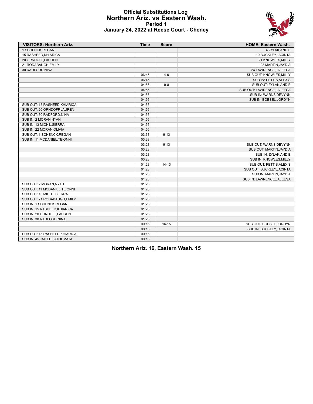#### **Official Substitutions Log Northern Ariz. vs Eastern Wash. Period 1 January 24, 2022 at Reese Court - Cheney**



| <b>VISITORS: Northern Ariz.</b> | <b>Time</b> | <b>Score</b> | <b>HOME: Eastern Wash.</b> |
|---------------------------------|-------------|--------------|----------------------------|
| 1 SCHENCK, REGAN                |             |              | 4 ZYLAK, ANDIE             |
| 15 RASHEED, KHIARICA            |             |              | 10 BUCKLEY, JACINTA        |
| 20 ORNDOFF,LAUREN               |             |              | 21 KNOWLES, MILLY          |
| 21 RODABAUGH, EMILY             |             |              | 23 MARTIN, JAYDIA          |
| 30 RADFORD, NINA                |             |              | 24 LAWRENCE, JALEESA       |
|                                 | 06:45       | 4-0          | SUB OUT: KNOWLES, MILLY    |
|                                 | 06:45       |              | SUB IN: PETTIS, ALEXIS     |
|                                 | 04:56       | $9 - 8$      | SUB OUT: ZYLAK, ANDIE      |
|                                 | 04:56       |              | SUB OUT: LAWRENCE, JALEESA |
|                                 | 04:56       |              | SUB IN: WARNS, DEVYNN      |
|                                 | 04:56       |              | SUB IN: BOESEL, JORDYN     |
| SUB OUT: 15 RASHEED, KHIARICA   | 04:56       |              |                            |
| SUB OUT: 20 ORNDOFF, LAUREN     | 04:56       |              |                            |
| SUB OUT: 30 RADFORD.NINA        | 04:56       |              |                            |
| SUB IN: 2 MORAN, NYAH           | 04:56       |              |                            |
| SUB IN: 13 MICH'L, SIERRA       | 04:56       |              |                            |
| SUB IN: 22 MORAN, OLIVIA        | 04:56       |              |                            |
| SUB OUT: 1 SCHENCK, REGAN       | 03:38       | $9 - 13$     |                            |
| SUB IN: 11 MCDANIEL, TEIONNI    | 03:38       |              |                            |
|                                 | 03:28       | $9 - 13$     | SUB OUT: WARNS, DEVYNN     |
|                                 | 03:28       |              | SUB OUT: MARTIN, JAYDIA    |
|                                 | 03:28       |              | SUB IN: ZYLAK, ANDIE       |
|                                 | 03:28       |              | SUB IN: KNOWLES, MILLY     |
|                                 | 01:23       | $14 - 13$    | SUB OUT: PETTIS, ALEXIS    |
|                                 | 01:23       |              | SUB OUT: BUCKLEY, JACINTA  |
|                                 | 01:23       |              | SUB IN: MARTIN, JAYDIA     |
|                                 | 01:23       |              | SUB IN: LAWRENCE, JALEESA  |
| SUB OUT: 2 MORAN.NYAH           | 01:23       |              |                            |
| SUB OUT: 11 MCDANIEL.TEIONNI    | 01:23       |              |                            |
| SUB OUT: 13 MICH'L, SIERRA      | 01:23       |              |                            |
| SUB OUT: 21 RODABAUGH, EMILY    | 01:23       |              |                            |
| SUB IN: 1 SCHENCK, REGAN        | 01:23       |              |                            |
| SUB IN: 15 RASHEED, KHIARICA    | 01:23       |              |                            |
| SUB IN: 20 ORNDOFF, LAUREN      | 01:23       |              |                            |
| SUB IN: 30 RADFORD, NINA        | 01:23       |              |                            |
|                                 | 00:16       | $16 - 15$    | SUB OUT: BOESEL, JORDYN    |
|                                 | 00:16       |              | SUB IN: BUCKLEY, JACINTA   |
| SUB OUT: 15 RASHEED, KHIARICA   | 00:16       |              |                            |
| SUB IN: 45 JAITEH, FATOUMATA    | 00:16       |              |                            |

**Northern Ariz. 16, Eastern Wash. 15**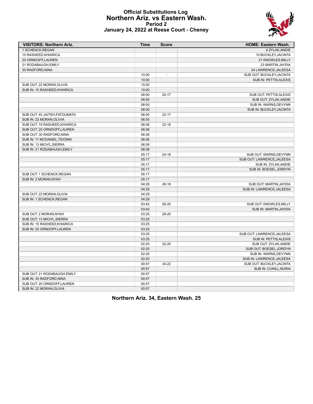#### **Official Substitutions Log Northern Ariz. vs Eastern Wash. Period 2 January 24, 2022 at Reese Court - Cheney**



| <b>VISITORS: Northern Ariz.</b> | <b>Time</b> | <b>Score</b>             | <b>HOME: Eastern Wash.</b> |
|---------------------------------|-------------|--------------------------|----------------------------|
| 1 SCHENCK.REGAN                 |             |                          | 4 ZYLAK, ANDIE             |
| 15 RASHEED, KHIARICA            |             |                          | 10 BUCKLEY, JACINTA        |
| 20 ORNDOFF,LAUREN               |             |                          | 21 KNOWLES, MILLY          |
| 21 RODABAUGH, EMILY             |             |                          | 23 MARTIN, JAYDIA          |
| 30 RADFORD, NINA                |             |                          | 24 LAWRENCE, JALEESA       |
|                                 | 10:00       | $\overline{\phantom{a}}$ | SUB OUT: BUCKLEY, JACINTA  |
|                                 | 10:00       |                          | SUB IN: PETTIS, ALEXIS     |
| SUB OUT: 22 MORAN, OLIVIA       | 10:00       |                          |                            |
| SUB IN: 15 RASHEED.KHIARICA     | 10:00       |                          |                            |
|                                 | 08:00       | $20 - 17$                | SUB OUT: PETTIS, ALEXIS    |
|                                 | 08:00       |                          | SUB OUT: ZYLAK, ANDIE      |
|                                 | 08:00       |                          | SUB IN: WARNS, DEVYNN      |
|                                 | 08:00       |                          | SUB IN: BUCKLEY, JACINTA   |
| SUB OUT: 45 JAITEH, FATOUMATA   | 06:50       | $22 - 17$                |                            |
| SUB IN: 22 MORAN, OLIVIA        | 06:50       |                          |                            |
| SUB OUT: 15 RASHEED, KHIARICA   | 06:08       | $22 - 18$                |                            |
| SUB OUT: 20 ORNDOFF, LAUREN     | 06:08       |                          |                            |
| SUB OUT: 30 RADFORD, NINA       | 06:08       |                          |                            |
| SUB IN: 11 MCDANIEL, TEIONNI    | 06:08       |                          |                            |
| SUB IN: 13 MICH'L, SIERRA       | 06:08       |                          |                            |
| SUB IN: 21 RODABAUGH.EMILY      | 06:08       |                          |                            |
|                                 | 05:17       | $24 - 18$                | SUB OUT: WARNS, DEVYNN     |
|                                 | 05:17       |                          | SUB OUT: LAWRENCE, JALEESA |
|                                 | 05:17       |                          | SUB IN: ZYLAK, ANDIE       |
|                                 | 05:17       |                          | SUB IN: BOESEL, JORDYN     |
| SUB OUT: 1 SCHENCK, REGAN       | 05:17       |                          |                            |
| SUB IN: 2 MORAN, NYAH           | 05:17       |                          |                            |
|                                 | 04:29       | $26-18$                  | SUB OUT: MARTIN, JAYDIA    |
|                                 | 04:29       |                          | SUB IN: LAWRENCE, JALEESA  |
| SUB OUT: 22 MORAN, OLIVIA       | 04:29       |                          |                            |
| SUB IN: 1 SCHENCK, REGAN        | 04:29       |                          |                            |
|                                 | 03:42       | 26-20                    | SUB OUT: KNOWLES, MILLY    |
|                                 | 03:42       |                          | SUB IN: MARTIN, JAYDIA     |
| SUB OUT: 2 MORAN, NYAH          | 03:25       | 28-20                    |                            |
| SUB OUT: 13 MICH'L, SIERRA      | 03:25       |                          |                            |
| SUB IN: 15 RASHEED, KHIARICA    | 03:25       |                          |                            |
| SUB IN: 20 ORNDOFF, LAUREN      | 03:25       |                          |                            |
|                                 | 03:25       |                          |                            |
|                                 | 03:25       |                          | SUB OUT: LAWRENCE, JALEESA |
|                                 |             |                          | SUB IN: PETTIS, ALEXIS     |
|                                 | 02:20       | 32-20                    | SUB OUT: ZYLAK, ANDIE      |
|                                 | 02:20       |                          | SUB OUT: BOESEL, JORDYN    |
|                                 | 02:20       |                          | SUB IN: WARNS, DEVYNN      |
|                                 | 02:20       |                          | SUB IN: LAWRENCE, JALEESA  |
|                                 | 00:57       | 34-22                    | SUB OUT: BUCKLEY, JACINTA  |
|                                 | 00:57       |                          | SUB IN: CUNILL, NURIA      |
| SUB OUT: 21 RODABAUGH, EMILY    | 00:57       |                          |                            |
| SUB IN: 30 RADFORD, NINA        | 00:57       |                          |                            |
| SUB OUT: 20 ORNDOFF,LAUREN      | 00:57       |                          |                            |
| SUB IN: 22 MORAN, OLIVIA        | 00:57       |                          |                            |

**Northern Ariz. 34, Eastern Wash. 25**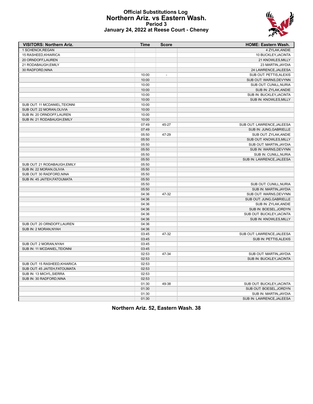#### **Official Substitutions Log Northern Ariz. vs Eastern Wash. Period 3 January 24, 2022 at Reese Court - Cheney**



| <b>VISITORS: Northern Ariz.</b> | <b>Time</b> | <b>Score</b>             | <b>HOME: Eastern Wash.</b> |
|---------------------------------|-------------|--------------------------|----------------------------|
| 1 SCHENCK, REGAN                |             |                          | 4 ZYLAK, ANDIE             |
| 15 RASHEED, KHIARICA            |             |                          | 10 BUCKLEY, JACINTA        |
| 20 ORNDOFF,LAUREN               |             |                          | 21 KNOWLES, MILLY          |
| 21 RODABAUGH, EMILY             |             |                          | 23 MARTIN, JAYDIA          |
| 30 RADFORD, NINA                |             |                          | 24 LAWRENCE, JALEESA       |
|                                 | 10:00       | $\overline{\phantom{a}}$ | SUB OUT: PETTIS, ALEXIS    |
|                                 | 10:00       |                          | SUB OUT: WARNS, DEVYNN     |
|                                 | 10:00       |                          | SUB OUT: CUNILL, NURIA     |
|                                 | 10:00       |                          | SUB IN: ZYLAK, ANDIE       |
|                                 | 10:00       |                          | SUB IN: BUCKLEY, JACINTA   |
|                                 | 10:00       |                          | SUB IN: KNOWLES, MILLY     |
| SUB OUT: 11 MCDANIEL, TEIONNI   | 10:00       |                          |                            |
| SUB OUT: 22 MORAN, OLIVIA       | 10:00       |                          |                            |
| SUB IN: 20 ORNDOFF, LAUREN      | 10:00       |                          |                            |
| SUB IN: 21 RODABAUGH, EMILY     | 10:00       |                          |                            |
|                                 | 07:49       | 45-27                    | SUB OUT: LAWRENCE, JALEESA |
|                                 | 07:49       |                          | SUB IN: JUNG, GABRIELLE    |
|                                 | 05:50       | 47-29                    | SUB OUT: ZYLAK, ANDIE      |
|                                 | 05:50       |                          | SUB OUT: KNOWLES, MILLY    |
|                                 | 05:50       |                          | SUB OUT: MARTIN, JAYDIA    |
|                                 | 05:50       |                          | SUB IN: WARNS, DEVYNN      |
|                                 | 05:50       |                          | SUB IN: CUNILL, NURIA      |
|                                 | 05:50       |                          | SUB IN: LAWRENCE, JALEESA  |
| SUB OUT: 21 RODABAUGH, EMILY    | 05:50       |                          |                            |
| SUB IN: 22 MORAN, OLIVIA        | 05:50       |                          |                            |
| SUB OUT: 30 RADFORD, NINA       | 05:50       |                          |                            |
| SUB IN: 45 JAITEH, FATOUMATA    | 05:50       |                          |                            |
|                                 | 05:50       |                          | SUB OUT: CUNILL, NURIA     |
|                                 | 05:50       |                          | SUB IN: MARTIN, JAYDIA     |
|                                 | 04:36       | 47-32                    | SUB OUT: WARNS, DEVYNN     |
|                                 | 04:36       |                          | SUB OUT: JUNG, GABRIELLE   |
|                                 | 04:36       |                          | SUB IN: ZYLAK, ANDIE       |
|                                 | 04:36       |                          | SUB IN: BOESEL, JORDYN     |
|                                 | 04:36       |                          | SUB OUT: BUCKLEY, JACINTA  |
|                                 | 04:36       |                          | SUB IN: KNOWLES, MILLY     |
| SUB OUT: 20 ORNDOFF,LAUREN      | 04:36       |                          |                            |
| SUB IN: 2 MORAN, NYAH           | 04:36       |                          |                            |
|                                 | 03:45       | 47-32                    | SUB OUT: LAWRENCE, JALEESA |
|                                 | 03:45       |                          | SUB IN: PETTIS, ALEXIS     |
| SUB OUT: 2 MORAN.NYAH           | 03:45       |                          |                            |
| SUB IN: 11 MCDANIEL, TEIONNI    | 03:45       |                          |                            |
|                                 | 02:53       | 47-34                    | SUB OUT: MARTIN, JAYDIA    |
|                                 | 02:53       |                          | SUB IN: BUCKLEY, JACINTA   |
| SUB OUT: 15 RASHEED, KHIARICA   | 02:53       |                          |                            |
| SUB OUT: 45 JAITEH, FATOUMATA   | 02:53       |                          |                            |
| SUB IN: 13 MICH'L, SIERRA       | 02:53       |                          |                            |
| SUB IN: 30 RADFORD, NINA        | 02:53       |                          |                            |
|                                 | 01:30       | 49-38                    | SUB OUT: BUCKLEY, JACINTA  |
|                                 | 01:30       |                          | SUB OUT: BOESEL, JORDYN    |
|                                 | 01:30       |                          | SUB IN: MARTIN, JAYDIA     |
|                                 | 01:30       |                          | SUB IN: LAWRENCE, JALEESA  |

**Northern Ariz. 52, Eastern Wash. 38**